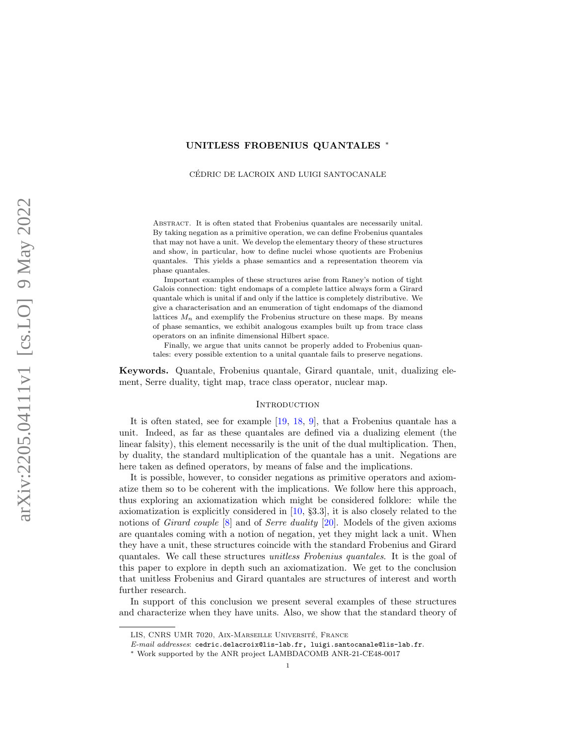# UNITLESS FROBENIUS QUANTALES ∗

CEDRIC DE LACROIX AND LUIGI SANTOCANALE ´

Abstract. It is often stated that Frobenius quantales are necessarily unital. By taking negation as a primitive operation, we can define Frobenius quantales that may not have a unit. We develop the elementary theory of these structures and show, in particular, how to define nuclei whose quotients are Frobenius quantales. This yields a phase semantics and a representation theorem via phase quantales.

Important examples of these structures arise from Raney's notion of tight Galois connection: tight endomaps of a complete lattice always form a Girard quantale which is unital if and only if the lattice is completely distributive. We give a characterisation and an enumeration of tight endomaps of the diamond lattices  $M_n$  and exemplify the Frobenius structure on these maps. By means of phase semantics, we exhibit analogous examples built up from trace class operators on an infinite dimensional Hilbert space.

Finally, we argue that units cannot be properly added to Frobenius quantales: every possible extention to a unital quantale fails to preserve negations.

Keywords. Quantale, Frobenius quantale, Girard quantale, unit, dualizing element, Serre duality, tight map, trace class operator, nuclear map.

### <span id="page-0-0"></span>**INTRODUCTION**

It is often stated, see for example [\[19,](#page-24-0) [18,](#page-24-1) [9\]](#page-24-2), that a Frobenius quantale has a unit. Indeed, as far as these quantales are defined via a dualizing element (the linear falsity), this element necessarily is the unit of the dual multiplication. Then, by duality, the standard multiplication of the quantale has a unit. Negations are here taken as defined operators, by means of false and the implications.

It is possible, however, to consider negations as primitive operators and axiomatize them so to be coherent with the implications. We follow here this approach, thus exploring an axiomatization which might be considered folklore: while the axiomatization is explicitly considered in [\[10,](#page-24-3) §3.3], it is also closely related to the notions of Girard couple [\[8\]](#page-24-4) and of Serre duality [\[20\]](#page-24-5). Models of the given axioms are quantales coming with a notion of negation, yet they might lack a unit. When they have a unit, these structures coincide with the standard Frobenius and Girard quantales. We call these structures unitless Frobenius quantales. It is the goal of this paper to explore in depth such an axiomatization. We get to the conclusion that unitless Frobenius and Girard quantales are structures of interest and worth further research.

In support of this conclusion we present several examples of these structures and characterize when they have units. Also, we show that the standard theory of

LIS, CNRS UMR 7020, AIX-MARSEILLE UNIVERSITÉ, FRANCE

E-mail addresses: cedric.delacroix@lis-lab.fr, luigi.santocanale@lis-lab.fr.

<sup>∗</sup> Work supported by the ANR project LAMBDACOMB ANR-21-CE48-0017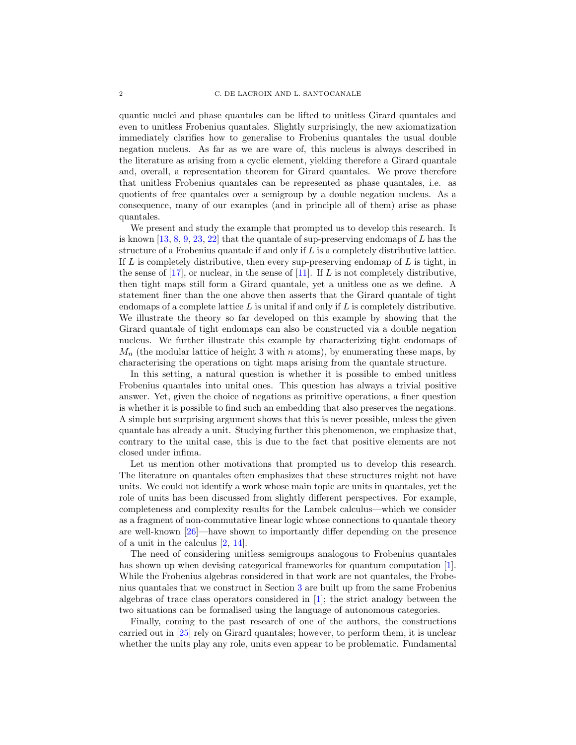quantic nuclei and phase quantales can be lifted to unitless Girard quantales and even to unitless Frobenius quantales. Slightly surprisingly, the new axiomatization immediately clarifies how to generalise to Frobenius quantales the usual double negation nucleus. As far as we are ware of, this nucleus is always described in the literature as arising from a cyclic element, yielding therefore a Girard quantale and, overall, a representation theorem for Girard quantales. We prove therefore that unitless Frobenius quantales can be represented as phase quantales, i.e. as quotients of free quantales over a semigroup by a double negation nucleus. As a consequence, many of our examples (and in principle all of them) arise as phase quantales.

We present and study the example that prompted us to develop this research. It is known [\[13,](#page-24-6) [8,](#page-24-4) [9,](#page-24-2) [23,](#page-24-7) [22\]](#page-24-8) that the quantale of sup-preserving endomaps of  $L$  has the structure of a Frobenius quantale if and only if L is a completely distributive lattice. If  $L$  is completely distributive, then every sup-preserving endomap of  $L$  is tight, in the sense of  $[17]$ , or nuclear, in the sense of  $[11]$ . If L is not completely distributive, then tight maps still form a Girard quantale, yet a unitless one as we define. A statement finer than the one above then asserts that the Girard quantale of tight endomaps of a complete lattice  $L$  is unital if and only if  $L$  is completely distributive. We illustrate the theory so far developed on this example by showing that the Girard quantale of tight endomaps can also be constructed via a double negation nucleus. We further illustrate this example by characterizing tight endomaps of  $M_n$  (the modular lattice of height 3 with n atoms), by enumerating these maps, by characterising the operations on tight maps arising from the quantale structure.

In this setting, a natural question is whether it is possible to embed unitless Frobenius quantales into unital ones. This question has always a trivial positive answer. Yet, given the choice of negations as primitive operations, a finer question is whether it is possible to find such an embedding that also preserves the negations. A simple but surprising argument shows that this is never possible, unless the given quantale has already a unit. Studying further this phenomenon, we emphasize that, contrary to the unital case, this is due to the fact that positive elements are not closed under infima.

Let us mention other motivations that prompted us to develop this research. The literature on quantales often emphasizes that these structures might not have units. We could not identify a work whose main topic are units in quantales, yet the role of units has been discussed from slightly different perspectives. For example, completeness and complexity results for the Lambek calculus—which we consider as a fragment of non-commutative linear logic whose connections to quantale theory are well-known [\[26\]](#page-24-11)—have shown to importantly differ depending on the presence of a unit in the calculus [\[2,](#page-23-0) [14\]](#page-24-12).

The need of considering unitless semigroups analogous to Frobenius quantales has shown up when devising categorical frameworks for quantum computation [\[1\]](#page-23-1). While the Frobenius algebras considered in that work are not quantales, the Frobenius quantales that we construct in Section [3](#page-6-0) are built up from the same Frobenius algebras of trace class operators considered in [\[1\]](#page-23-1); the strict analogy between the two situations can be formalised using the language of autonomous categories.

Finally, coming to the past research of one of the authors, the constructions carried out in [\[25\]](#page-24-13) rely on Girard quantales; however, to perform them, it is unclear whether the units play any role, units even appear to be problematic. Fundamental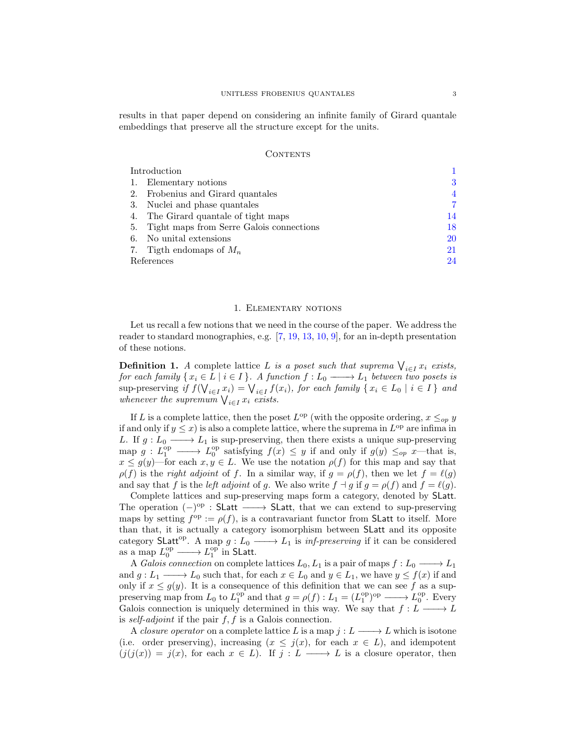results in that paper depend on considering an infinite family of Girard quantale embeddings that preserve all the structure except for the units.

### **CONTENTS**

| Introduction |                                          |    |
|--------------|------------------------------------------|----|
|              | Elementary notions                       | 3  |
| 2.           | Frobenius and Girard quantales           | 4  |
| 3.           | Nuclei and phase quantales               | 7  |
| 4.           | The Girard quantale of tight maps        | 14 |
| 5.           | Tight maps from Serre Galois connections | 18 |
| 6.           | No unital extensions                     | 20 |
|              | 7. Tigth endomaps of $M_n$               | 21 |
| References   |                                          | 24 |

### 1. Elementary notions

<span id="page-2-0"></span>Let us recall a few notions that we need in the course of the paper. We address the reader to standard monographies, e.g. [\[7,](#page-24-14) [19,](#page-24-0) [13,](#page-24-6) [10,](#page-24-3) [9\]](#page-24-2), for an in-depth presentation of these notions.

**Definition 1.** A complete lattice L is a poset such that suprema  $\bigvee_{i \in I} x_i$  exists, for each family  $\{x_i \in L \mid i \in I\}$ . A function  $f: L_0 \longrightarrow L_1$  between two posets is sup-preserving if  $f(\bigvee_{i \in I} x_i) = \bigvee_{i \in I} f(x_i)$ , for each family  $\{x_i \in L_0 \mid i \in I\}$  and sup-preserving if  $\int \left(\mathbf{V}_{i \in I} x_i\right) - \mathbf{V}_{i \in I} \right)$ <br>whenever the supremum  $\bigvee_{i \in I} x_i$  exists.

If L is a complete lattice, then the poset  $L^{\text{op}}$  (with the opposite ordering,  $x \leq_{op} y$ if and only if  $y \leq x$ ) is also a complete lattice, where the suprema in  $L^{\text{op}}$  are infima in L. If  $g: L_0 \longrightarrow L_1$  is sup-preserving, then there exists a unique sup-preserving map  $g: L_1^{\text{op}} \longrightarrow L_0^{\text{op}}$  satisfying  $f(x) \leq y$  if and only if  $g(y) \leq_{op} x$ —that is,  $x \le g(y)$ —for each  $x, y \in L$ . We use the notation  $\rho(f)$  for this map and say that  $\rho(f)$  is the *right adjoint* of f. In a similar way, if  $g = \rho(f)$ , then we let  $f = \ell(g)$ and say that f is the *left adjoint* of g. We also write  $f \dashv g$  if  $g = \rho(f)$  and  $f = \ell(g)$ .

Complete lattices and sup-preserving maps form a category, denoted by SLatt. The operation  $(-)^\text{op}$  : SLatt  $\longrightarrow$  SLatt, that we can extend to sup-preserving maps by setting  $f^{\rm op} := \rho(f)$ , is a contravariant functor from **SLatt** to itself. More than that, it is actually a category isomorphism between SLatt and its opposite category SLatt<sup>op</sup>. A map  $g: L_0 \longrightarrow L_1$  is *inf-preserving* if it can be considered as a map  $L_0^{\text{op}} \longrightarrow L_1^{\text{op}}$  in SLatt.

A Galois connection on complete lattices  $L_0, L_1$  is a pair of maps  $f: L_0 \longrightarrow L_1$ and  $g: L_1 \longrightarrow L_0$  such that, for each  $x \in L_0$  and  $y \in L_1$ , we have  $y \le f(x)$  if and only if  $x \le g(y)$ . It is a consequence of this definition that we can see f as a suppreserving map from  $L_0$  to  $L_1^{\text{op}}$  and that  $g = \rho(f) : L_1 = (L_1^{\text{op}})^{\text{op}} \longrightarrow L_0^{\text{op}}$ . Every Galois connection is uniquely determined in this way. We say that  $f: L \longrightarrow L$ is self-adjoint if the pair  $f, f$  is a Galois connection.

A *closure operator* on a complete lattice L is a map  $j: L \longrightarrow L$  which is isotone (i.e. order preserving), increasing  $(x \leq j(x))$ , for each  $x \in L$ ), and idempotent  $(j(j(x)) = j(x)$ , for each  $x \in L$ ). If  $j : L \longrightarrow L$  is a closure operator, then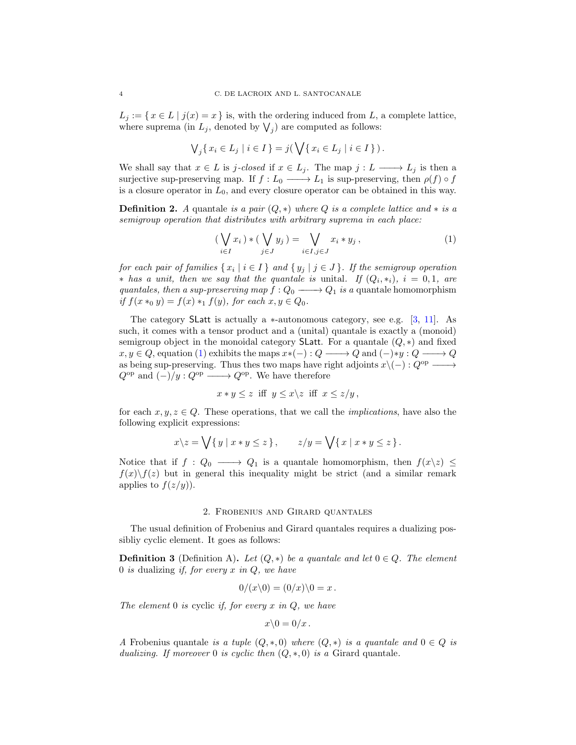$L_j := \{ x \in L \mid j(x) = x \}$  is, with the ordering induced from L, a complete lattice, where suprema (in  $L_j$ , denoted by  $\bigvee_j$ ) are computed as follows:

$$
\bigvee_j \{ x_i \in L_j \mid i \in I \} = j(\bigvee \{ x_i \in L_j \mid i \in I \} ).
$$

We shall say that  $x \in L$  is j-closed if  $x \in L_j$ . The map  $j : L \longrightarrow L_j$  is then a surjective sup-preserving map. If  $f: L_0 \longrightarrow L_1$  is sup-preserving, then  $\rho(f) \circ f$ is a closure operator in  $L_0$ , and every closure operator can be obtained in this way.

**Definition 2.** A quantale is a pair  $(Q, *)$  where Q is a complete lattice and  $*$  is a semigroup operation that distributes with arbitrary suprema in each place:

<span id="page-3-1"></span>
$$
\left(\bigvee_{i\in I} x_i\right) * \left(\bigvee_{j\in J} y_j\right) = \bigvee_{i\in I, j\in J} x_i * y_j ,\tag{1}
$$

for each pair of families  $\{x_i \mid i \in I\}$  and  $\{y_j \mid j \in J\}$ . If the semigroup operation \* has a unit, then we say that the quantale is unital. If  $(Q_i, *_i)$ ,  $i = 0, 1$ , are quantales, then a sup-preserving map  $f: Q_0 \longrightarrow Q_1$  is a quantale homomorphism if  $f(x *_{0} y) = f(x) *_{1} f(y)$ , for each  $x, y \in Q_{0}$ .

The category SLatt is actually a  $*$ -autonomous category, see e.g. [\[3,](#page-23-3) [11\]](#page-24-10). As such, it comes with a tensor product and a (unital) quantale is exactly a (monoid) semigroup object in the monoidal category SLatt. For a quantale  $(Q, *)$  and fixed  $x, y \in Q$ , equation [\(1\)](#page-3-1) exhibits the maps  $x*(-): Q \longrightarrow Q$  and  $(-)*y : Q \longrightarrow Q$ as being sup-preserving. Thus thes two maps have right adjoints  $x\(-): Q^{\text{op}} \longrightarrow$  $Q^{\rm op}$  and  $(-)/y: Q^{\rm op} \longrightarrow Q^{\rm op}$ . We have therefore

$$
x * y \le z \quad \text{iff} \quad y \le x \backslash z \quad \text{iff} \quad x \le z/y \,,
$$

for each  $x, y, z \in Q$ . These operations, that we call the *implications*, have also the following explicit expressions:

$$
x\backslash z = \bigvee \{ y \mid x * y \leq z \}, \qquad z/y = \bigvee \{ x \mid x * y \leq z \}.
$$

Notice that if  $f: Q_0 \longrightarrow Q_1$  is a quantale homomorphism, then  $f(x \geq x) \leq y$  $f(x)\setminus f(z)$  but in general this inequality might be strict (and a similar remark applies to  $f(z/y)$ .

## 2. Frobenius and Girard quantales

<span id="page-3-0"></span>The usual definition of Frobenius and Girard quantales requires a dualizing possibliy cyclic element. It goes as follows:

<span id="page-3-2"></span>**Definition 3** (Definition A). Let  $(Q, *)$  be a quantale and let  $0 \in Q$ . The element 0 is dualizing if, for every  $x$  in  $Q$ , we have

$$
0/(x\backslash 0)=(0/x)\backslash 0=x.
$$

The element  $0$  is cyclic if, for every x in  $Q$ , we have

$$
x\backslash 0=0/x\,.
$$

A Frobenius quantale is a tuple  $(Q, *, 0)$  where  $(Q, *)$  is a quantale and  $0 \in Q$  is dualizing. If moreover 0 is cyclic then  $(Q, \ast, 0)$  is a Girard quantale.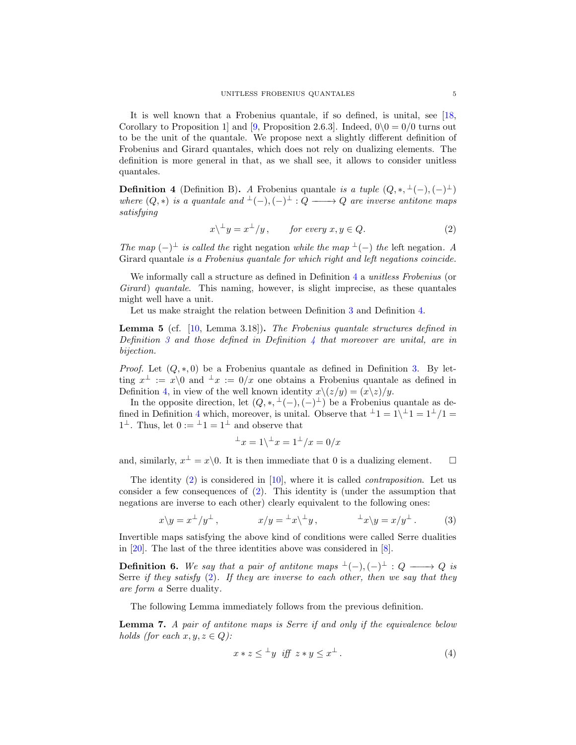It is well known that a Frobenius quantale, if so defined, is unital, see [\[18,](#page-24-1) Corollary to Proposition 1 and [\[9,](#page-24-2) Proposition 2.6.3]. Indeed,  $0\backslash 0 = 0/0$  turns out to be the unit of the quantale. We propose next a slightly different definition of Frobenius and Girard quantales, which does not rely on dualizing elements. The definition is more general in that, as we shall see, it allows to consider unitless quantales.

<span id="page-4-0"></span>**Definition 4** (Definition B). A Frobenius quantale is a tuple  $(Q, *, \perp (-), (-)^{\perp})$ where  $(Q, *)$  is a quantale and  $\bot(-), (-) \bot : Q \longrightarrow Q$  are inverse antitone maps satisfying

<span id="page-4-1"></span>
$$
x\backslash^{\perp}y = x^{\perp}/y, \qquad \text{for every } x, y \in Q. \tag{2}
$$

The map  $(-)$ <sup>⊥</sup> is called the right negation while the map <sup>⊥</sup>(−) the left negation. A Girard quantale is a Frobenius quantale for which right and left negations coincide.

We informally call a structure as defined in Definition [4](#page-4-0) a *unitless Frobenius* (or Girard) quantale. This naming, however, is slight imprecise, as these quantales might well have a unit.

Let us make straight the relation between Definition [3](#page-3-2) and Definition [4.](#page-4-0)

**Lemma 5** (cf.  $[10, \text{Lemma } 3.18]$  $[10, \text{Lemma } 3.18]$ ). The Frobenius quantale structures defined in Definition [3](#page-3-2) and those defined in Definition [4](#page-4-0) that moreover are unital, are in bijection.

*Proof.* Let  $(Q, *, 0)$  be a Frobenius quantale as defined in Definition [3.](#page-3-2) By letting  $x^{\perp} := x \setminus 0$  and  $\perp x := 0/x$  one obtains a Frobenius quantale as defined in Definition [4,](#page-4-0) in view of the well known identity  $x \setminus (z/y) = (x \setminus z)/y$ .

In the opposite direction, let  $(Q, *, \perp (-), (-) \perp)$  be a Frobenius quantale as de-fined in Definition [4](#page-4-0) which, moreover, is unital. Observe that  $\pm 1 = 1 \pm 1 = 1^{\pm}/1 =$  $1^{\perp}$ . Thus, let  $0 := {}^{\perp}1 = 1^{\perp}$  and observe that

<span id="page-4-2"></span>
$$
\perp x = 1 \backslash \perp x = 1 \perp / x = 0/x
$$

and, similarly,  $x^{\perp} = x \backslash 0$ . It is then immediate that 0 is a dualizing element.  $\square$ 

The identity  $(2)$  is considered in  $[10]$ , where it is called *contraposition*. Let us consider a few consequences of [\(2\)](#page-4-1). This identity is (under the assumption that negations are inverse to each other) clearly equivalent to the following ones:

$$
x\backslash y = x^{\perp}/y^{\perp}, \qquad x/y = {}^{\perp}x\backslash {}^{\perp}y, \qquad {}^{\perp}x\backslash y = x/y^{\perp}. \qquad (3)
$$

Invertible maps satisfying the above kind of conditions were called Serre dualities in [\[20\]](#page-24-5). The last of the three identities above was considered in [\[8\]](#page-24-4).

**Definition 6.** We say that a pair of antitone maps  $\bot(-), (-) \bot : Q \longrightarrow Q$  is Serre if they satisfy  $(2)$ . If they are inverse to each other, then we say that they are form a Serre duality.

The following Lemma immediately follows from the previous definition.

Lemma 7. A pair of antitone maps is Serre if and only if the equivalence below holds (for each  $x, y, z \in Q$ ):

$$
x * z \leq {}^{\perp}y \text{ iff } z * y \leq x^{\perp}. \tag{4}
$$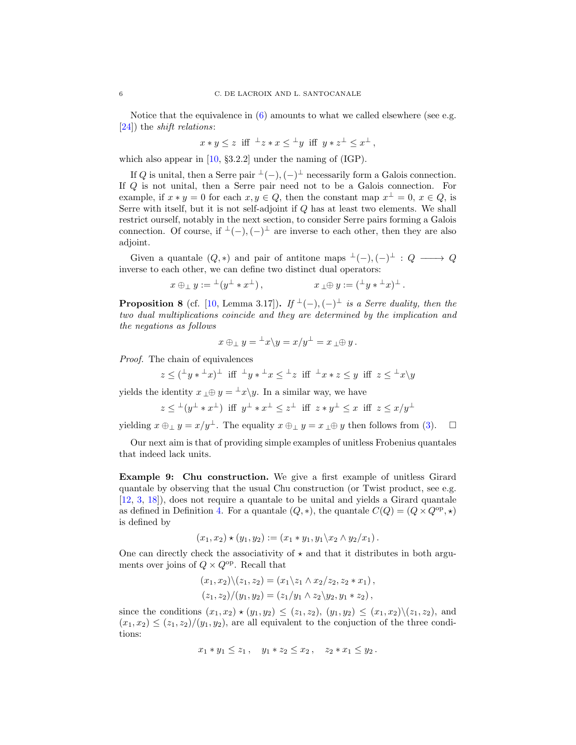Notice that the equivalence in  $(6)$  amounts to what we called elsewhere (see e.g. [\[24\]](#page-24-15)) the shift relations:

$$
x * y \le z \quad \text{iff} \quad \perp z * x \le \perp y \quad \text{iff} \quad y * z^{\perp} \le x^{\perp} \,,
$$

which also appear in [\[10,](#page-24-3) §3.2.2] under the naming of (IGP).

If Q is unital, then a Serre pair  $\perp(-)$ ,  $(-)$  necessarily form a Galois connection. If Q is not unital, then a Serre pair need not to be a Galois connection. For example, if  $x * y = 0$  for each  $x, y \in Q$ , then the constant map  $x^{\perp} = 0$ ,  $x \in Q$ , is Serre with itself, but it is not self-adjoint if Q has at least two elements. We shall restrict ourself, notably in the next section, to consider Serre pairs forming a Galois connection. Of course, if  $\perp(-)$ ,  $(-)$  are inverse to each other, then they are also adjoint.

Given a quantale  $(Q, *)$  and pair of antitone maps  $\bot(-), (-) \bot : Q \longrightarrow Q$ inverse to each other, we can define two distinct dual operators:

$$
x \oplus_{\perp} y := {}^{\perp}(y^{\perp} * x^{\perp}), \qquad x \perp \oplus y := ({}^{\perp}y * {}^{\perp}x)^{\perp}.
$$

**Proposition 8** (cf. [\[10,](#page-24-3) Lemma 3.17]). If  $\perp$ (-),(-) $\perp$  is a Serre duality, then the two dual multiplications coincide and they are determined by the implication and the negations as follows

$$
x \oplus_{\perp} y = {}^{\perp}x \backslash y = x/y^{\perp} = x \perp \oplus y.
$$

Proof. The chain of equivalences

$$
z \leq (\pm y * \pm x)^{\perp} \text{ iff } \pm y * \pm x \leq \pm z \text{ iff } \pm x * z \leq y \text{ iff } z \leq \pm x \setminus y
$$

yields the identity  $x \perp \oplus y = \perp x \setminus y$ . In a similar way, we have

$$
z \leq ^{\perp} (y^{\perp} * x^{\perp}) \text{ iff } y^{\perp} * x^{\perp} \leq z^{\perp} \text{ iff } z * y^{\perp} \leq x \text{ iff } z \leq x/y^{\perp}
$$

yielding  $x \oplus_{\perp} y = x/y^{\perp}$ . The equality  $x \oplus_{\perp} y = x_{\perp} \oplus y$  then follows from [\(3\)](#page-4-2).  $\Box$ 

Our next aim is that of providing simple examples of unitless Frobenius quantales that indeed lack units.

Example 9: Chu construction. We give a first example of unitless Girard quantale by observing that the usual Chu construction (or Twist product, see e.g. [\[12,](#page-24-16) [3,](#page-23-3) [18\]](#page-24-1)), does not require a quantale to be unital and yields a Girard quantale as defined in Definition [4.](#page-4-0) For a quantale  $(Q, *)$ , the quantale  $C(Q) = (Q \times Q^{\text{op}}, *)$ is defined by

$$
(x_1, x_2) \star (y_1, y_2) := (x_1 * y_1, y_1 \backslash x_2 \land y_2 \backslash x_1).
$$

One can directly check the associativity of  $\star$  and that it distributes in both arguments over joins of  $Q \times Q^{\text{op}}$ . Recall that

$$
(x_1, x_2)\setminus (z_1, z_2) = (x_1\setminus z_1 \land x_2/z_2, z_2 * x_1),
$$
  

$$
(z_1, z_2)/(y_1, y_2) = (z_1/y_1 \land z_2 \setminus y_2, y_1 * z_2),
$$

since the conditions  $(x_1, x_2) \star (y_1, y_2) \leq (z_1, z_2), (y_1, y_2) \leq (x_1, x_2) \setminus (z_1, z_2)$ , and  $(x_1, x_2) \leq (z_1, z_2)/(y_1, y_2)$ , are all equivalent to the conjuction of the three conditions:

$$
x_1 * y_1 \leq z_1
$$
,  $y_1 * z_2 \leq x_2$ ,  $z_2 * x_1 \leq y_2$ .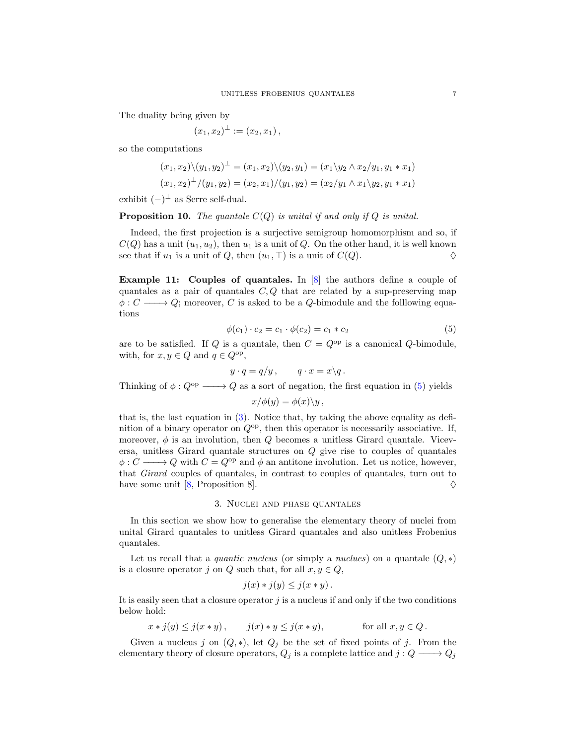The duality being given by

$$
(x_1, x_2)^{\perp} := (x_2, x_1),
$$

so the computations

$$
(x_1, x_2) \setminus (y_1, y_2)^\perp = (x_1, x_2) \setminus (y_2, y_1) = (x_1 \setminus y_2 \land x_2 / y_1, y_1 * x_1)
$$
  

$$
(x_1, x_2)^\perp / (y_1, y_2) = (x_2, x_1) / (y_1, y_2) = (x_2 / y_1 \land x_1 \setminus y_2, y_1 * x_1)
$$

exhibit  $(-)$ <sup>⊥</sup> as Serre self-dual.

**Proposition 10.** The quantale  $C(Q)$  is unital if and only if Q is unital.

Indeed, the first projection is a surjective semigroup homomorphism and so, if  $C(Q)$  has a unit  $(u_1, u_2)$ , then  $u_1$  is a unit of Q. On the other hand, it is well known see that if  $u_1$  is a unit of Q, then  $(u_1, \top)$  is a unit of  $C(Q)$ .

Example 11: Couples of quantales. In [\[8\]](#page-24-4) the authors define a couple of quantales as a pair of quantales  $C, Q$  that are related by a sup-preserving map  $\phi: C \longrightarrow Q$ ; moreover, C is asked to be a Q-bimodule and the following equations

$$
\phi(c_1) \cdot c_2 = c_1 \cdot \phi(c_2) = c_1 * c_2 \tag{5}
$$

are to be satisfied. If Q is a quantale, then  $C = Q^{\rm op}$  is a canonical Q-bimodule, with, for  $x, y \in Q$  and  $q \in Q^{\text{op}}$ ,

$$
y \cdot q = q/y, \qquad q \cdot x = x \backslash q.
$$

Thinking of  $\phi: Q^{op} \longrightarrow Q$  as a sort of negation, the first equation in [\(5\)](#page-6-1) yields

<span id="page-6-1"></span>
$$
x/\phi(y) = \phi(x)\backslash y\,,
$$

that is, the last equation in [\(3\)](#page-4-2). Notice that, by taking the above equality as definition of a binary operator on  $Q^{\rm op}$ , then this operator is necessarily associative. If, moreover,  $\phi$  is an involution, then  $Q$  becomes a unitless Girard quantale. Viceversa, unitless Girard quantale structures on Q give rise to couples of quantales  $\phi: C \longrightarrow Q$  with  $C = Q^{\rm op}$  and  $\phi$  an antitone involution. Let us notice, however, that Girard couples of quantales, in contrast to couples of quantales, turn out to have some unit [\[8,](#page-24-4) Proposition 8].  $\diamondsuit$ 

#### 3. Nuclei and phase quantales

<span id="page-6-0"></span>In this section we show how to generalise the elementary theory of nuclei from unital Girard quantales to unitless Girard quantales and also unitless Frobenius quantales.

Let us recall that a *quantic nucleus* (or simply a *nuclues*) on a quantale  $(Q, *)$ is a closure operator j on Q such that, for all  $x, y \in Q$ ,

$$
j(x) * j(y) \leq j(x * y).
$$

It is easily seen that a closure operator  $j$  is a nucleus if and only if the two conditions below hold:

$$
x * j(y) \leq j(x * y), \qquad j(x) * y \leq j(x * y), \qquad \text{for all } x, y \in Q.
$$

Given a nucleus j on  $(Q, *)$ , let  $Q_j$  be the set of fixed points of j. From the elementary theory of closure operators,  $Q_j$  is a complete lattice and  $j: Q \longrightarrow Q_j$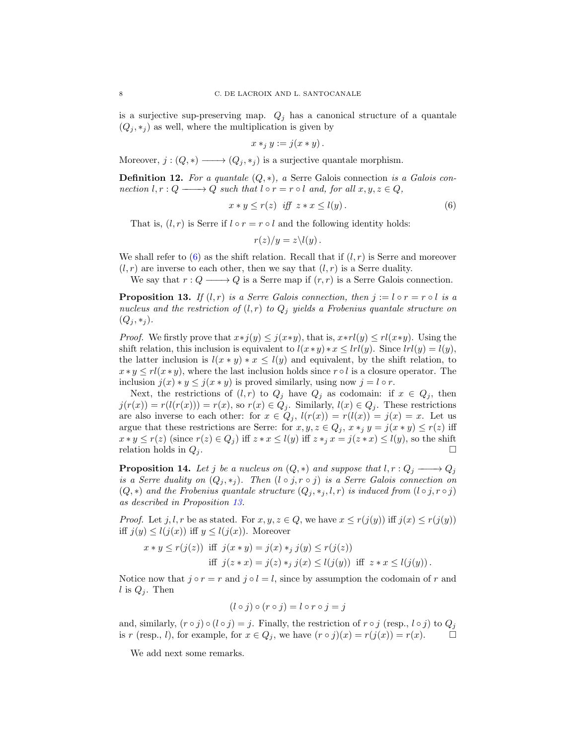is a surjective sup-preserving map.  $Q_j$  has a canonical structure of a quantale  $(Q_j, *_j)$  as well, where the multiplication is given by

$$
x *_{j} y := j(x * y).
$$

Moreover,  $j : (Q, *) \longrightarrow (Q_i, *_i)$  is a surjective quantale morphism.

**Definition 12.** For a quantale  $(Q, *)$ , a Serre Galois connection is a Galois connection  $l, r : Q \longrightarrow Q$  such that  $l \circ r = r \circ l$  and, for all  $x, y, z \in Q$ ,

$$
x * y \le r(z) \quad \text{iff} \quad z * x \le l(y). \tag{6}
$$

That is,  $(l, r)$  is Serre if  $l \circ r = r \circ l$  and the following identity holds:

<span id="page-7-0"></span>
$$
r(z)/y=z\backslash l(y).
$$

We shall refer to [\(6\)](#page-7-0) as the shift relation. Recall that if  $(l, r)$  is Serre and moreover  $(l, r)$  are inverse to each other, then we say that  $(l, r)$  is a Serre duality.

We say that  $r: Q \longrightarrow Q$  is a Serre map if  $(r, r)$  is a Serre Galois connection.

<span id="page-7-1"></span>**Proposition 13.** If  $(l, r)$  is a Serre Galois connection, then  $j := l \circ r = r \circ l$  is a nucleus and the restriction of  $(l, r)$  to  $Q_j$  yields a Frobenius quantale structure on  $(Q_j, *_j).$ 

*Proof.* We firstly prove that  $x * j(y) \leq j(x*y)$ , that is,  $x * r l(y) \leq r l(x*y)$ . Using the shift relation, this inclusion is equivalent to  $l(x*y)*x \leq lrl(y)$ . Since  $lrl(y) = l(y)$ , the latter inclusion is  $l(x * y) * x \leq l(y)$  and equivalent, by the shift relation, to  $x * y \leq r l(x * y)$ , where the last inclusion holds since  $r \circ l$  is a closure operator. The inclusion  $j(x) * y \leq j(x * y)$  is proved similarly, using now  $j = l \circ r$ .

Next, the restrictions of  $(l, r)$  to  $Q_j$  have  $Q_j$  as codomain: if  $x \in Q_j$ , then  $j(r(x)) = r(l(r(x))) = r(x)$ , so  $r(x) \in Q_j$ . Similarly,  $l(x) \in Q_j$ . These restrictions are also inverse to each other: for  $x \in Q_j$ ,  $l(r(x)) = r(l(x)) = j(x) = x$ . Let us argue that these restrictions are Serre: for  $x, y, z \in Q_j$ ,  $x *_{j} y = j(x * y) \leq r(z)$  iff  $x * y \leq r(z)$  (since  $r(z) \in Q_j$ ) iff  $z * x \leq l(y)$  iff  $z * j \leq x \leq j(z * x) \leq l(y)$ , so the shift relation holds in  $Q_i$ .

<span id="page-7-2"></span>**Proposition 14.** Let j be a nucleus on  $(Q, *)$  and suppose that  $l, r : Q_j \longrightarrow Q_j$ is a Serre duality on  $(Q_i, *_i)$ . Then  $(l \circ j, r \circ j)$  is a Serre Galois connection on  $(Q, *)$  and the Frobenius quantale structure  $(Q_j, *_j, l, r)$  is induced from  $(l \circ j, r \circ j)$ as described in Proposition [13.](#page-7-1)

*Proof.* Let  $j, l, r$  be as stated. For  $x, y, z \in Q$ , we have  $x \leq r(j(y))$  iff  $j(x) \leq r(j(y))$ iff  $j(y) \leq l(j(x))$  iff  $y \leq l(j(x))$ . Moreover

$$
x * y \le r(j(z)) \text{ iff } j(x * y) = j(x) *_{j} j(y) \le r(j(z))
$$
  
iff 
$$
j(z * x) = j(z) *_{j} j(x) \le l(j(y)) \text{ iff } z * x \le l(j(y)).
$$

Notice now that  $j \circ r = r$  and  $j \circ l = l$ , since by assumption the codomain of r and l is  $Q_j$ . Then

$$
(l \circ j) \circ (r \circ j) = l \circ r \circ j = j
$$

and, similarly,  $(r \circ j) \circ (l \circ j) = j$ . Finally, the restriction of  $r \circ j$  (resp.,  $l \circ j$ ) to  $Q_j$ is r (resp., l), for example, for  $x \in Q_j$ , we have  $(r \circ j)(x) = r(j(x)) = r(x)$ .

We add next some remarks.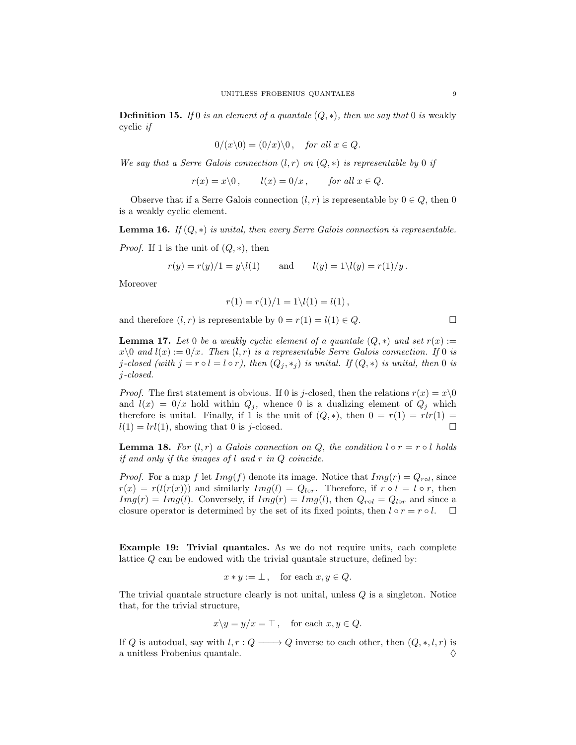**Definition 15.** If 0 is an element of a quantale  $(Q, *)$ , then we say that 0 is weakly cyclic if

$$
0/(x\backslash 0) = (0/x)\backslash 0, \quad \text{for all } x \in Q.
$$

We say that a Serre Galois connection  $(l, r)$  on  $(Q, *)$  is representable by 0 if

 $r(x) = x\backslash 0$ ,  $l(x) = 0/x$ , for all  $x \in Q$ .

Observe that if a Serre Galois connection  $(l, r)$  is representable by  $0 \in Q$ , then 0 is a weakly cyclic element.

**Lemma 16.** If  $(Q, *)$  is unital, then every Serre Galois connection is representable.

*Proof.* If 1 is the unit of  $(Q, *)$ , then

$$
r(y) = r(y)/1 = y\setminus l(1)
$$
 and  $l(y) = 1\setminus l(y) = r(1)/y$ .

Moreover

$$
r(1) = r(1)/1 = 1 \setminus l(1) = l(1),
$$

and therefore  $(l, r)$  is representable by  $0 = r(1) = l(1) \in Q$ .

<span id="page-8-0"></span>**Lemma 17.** Let 0 be a weakly cyclic element of a quantale  $(Q, *)$  and set  $r(x) :=$  $x\setminus 0$  and  $l(x) := 0/x$ . Then  $(l, r)$  is a representable Serre Galois connection. If 0 is j-closed (with  $j = r \circ l = l \circ r$ ), then  $(Q_j, *_j)$  is unital. If  $(Q, *)$  is unital, then 0 is j-closed.

*Proof.* The first statement is obvious. If 0 is j-closed, then the relations  $r(x) = x\backslash 0$ and  $l(x) = 0/x$  hold within  $Q_i$ , whence 0 is a dualizing element of  $Q_i$  which therefore is unital. Finally, if 1 is the unit of  $(Q, *)$ , then  $0 = r(1) = rlr(1) = l(1) = lrl(1)$ . showing that 0 is *i*-closed.  $l(1) = lrl(1)$ , showing that 0 is j-closed.

<span id="page-8-1"></span>**Lemma 18.** For  $(l, r)$  a Galois connection on Q, the condition  $l \circ r = r \circ l$  holds if and only if the images of l and r in Q coincide.

*Proof.* For a map f let  $Img(f)$  denote its image. Notice that  $Img(r) = Q_{rol}$ , since  $r(x) = r(l(r(x)))$  and similarly  $Img(l) = Q_{lor}$ . Therefore, if  $r \circ l = l \circ r$ , then  $Img(r) = Img(l)$ . Conversely, if  $Img(r) = Img(l)$ , then  $Q_{rol} = Q_{lor}$  and since a closure operator is determined by the set of its fixed points, then  $l \circ r = r \circ l$ .

Example 19: Trivial quantales. As we do not require units, each complete lattice Q can be endowed with the trivial quantale structure, defined by:

$$
x * y := \bot, \quad \text{for each } x, y \in Q.
$$

The trivial quantale structure clearly is not unital, unless  $Q$  is a singleton. Notice that, for the trivial structure,

$$
x \backslash y = y/x = \top
$$
, for each  $x, y \in Q$ .

If Q is autodual, say with  $l, r : Q \longrightarrow Q$  inverse to each other, then  $(Q, *, l, r)$  is a unitless Frobenius quantale.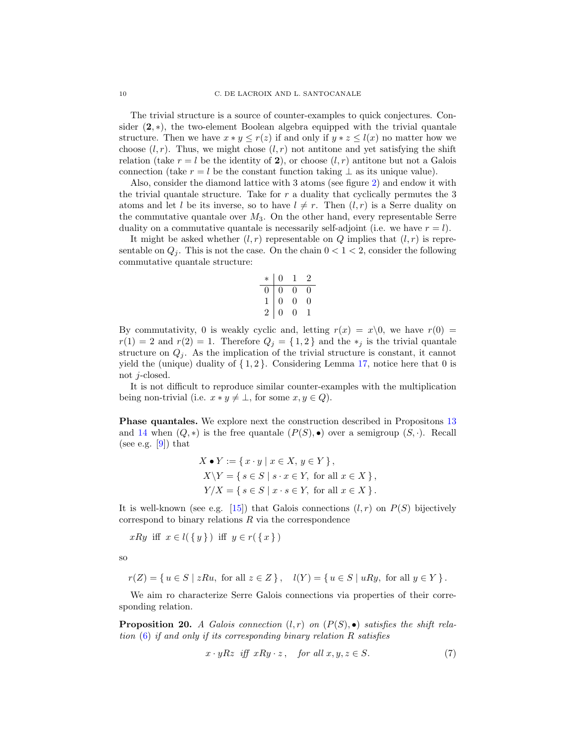The trivial structure is a source of counter-examples to quick conjectures. Consider  $(2, *)$ , the two-element Boolean algebra equipped with the trivial quantale structure. Then we have  $x * y \leq r(z)$  if and only if  $y * z \leq l(x)$  no matter how we choose  $(l, r)$ . Thus, we might chose  $(l, r)$  not antitone and yet satisfying the shift relation (take  $r = l$  be the identity of 2), or choose  $(l, r)$  antitone but not a Galois connection (take  $r = l$  be the constant function taking  $\perp$  as its unique value).

Also, consider the diamond lattice with 3 atoms (see figure [2\)](#page-20-1) and endow it with the trivial quantale structure. Take for  $r$  a duality that cyclically permutes the 3 atoms and let l be its inverse, so to have  $l \neq r$ . Then  $(l, r)$  is a Serre duality on the commutative quantale over  $M_3$ . On the other hand, every representable Serre duality on a commutative quantale is necessarily self-adjoint (i.e. we have  $r = l$ ).

It might be asked whether  $(l, r)$  representable on Q implies that  $(l, r)$  is representable on  $Q_i$ . This is not the case. On the chain  $0 < 1 < 2$ , consider the following commutative quantale structure:

$$
\begin{array}{c|cccc}\n* & 0 & 1 & 2 \\
\hline\n0 & 0 & 0 & 0 \\
1 & 0 & 0 & 0 \\
2 & 0 & 0 & 1\n\end{array}
$$

By commutativity, 0 is weakly cyclic and, letting  $r(x) = x\backslash 0$ , we have  $r(0) =$  $r(1) = 2$  and  $r(2) = 1$ . Therefore  $Q_i = \{1, 2\}$  and the  $*_i$  is the trivial quantale structure on  $Q_i$ . As the implication of the trivial structure is constant, it cannot yield the (unique) duality of  $\{1,2\}$ . Considering Lemma [17,](#page-8-0) notice here that 0 is not j-closed.

It is not difficult to reproduce similar counter-examples with the multiplication being non-trivial (i.e.  $x * y \neq \bot$ , for some  $x, y \in Q$ ).

Phase quantales. We explore next the construction described in Propositons [13](#page-7-1) and [14](#page-7-2) when  $(Q, *)$  is the free quantale  $(P(S), \bullet)$  over a semigroup  $(S, \cdot)$ . Recall (see e.g.  $[9]$ ) that

$$
X \bullet Y := \{ x \cdot y \mid x \in X, y \in Y \},
$$
  
\n
$$
X \setminus Y = \{ s \in S \mid s \cdot x \in Y, \text{ for all } x \in X \},
$$
  
\n
$$
Y/X = \{ s \in S \mid x \cdot s \in Y, \text{ for all } x \in X \}.
$$

It is well-known (see e.g. [\[15\]](#page-24-17)) that Galois connections  $(l, r)$  on  $P(S)$  bijectively correspond to binary relations  $R$  via the correspondence

 $xRy$  iff  $x \in l({y} \})$  iff  $y \in r({x} \})$ 

so

$$
r(Z) = \{ u \in S \mid zRu, \text{ for all } z \in Z \}, \quad l(Y) = \{ u \in S \mid uRy, \text{ for all } y \in Y \}.
$$

We aim ro characterize Serre Galois connections via properties of their corresponding relation.

**Proposition 20.** A Galois connection  $(l, r)$  on  $(P(S), \bullet)$  satisfies the shift relation  $(6)$  if and only if its corresponding binary relation R satisfies

<span id="page-9-0"></span>
$$
x \cdot yRz \quad \text{iff} \quad xRy \cdot z \,, \quad \text{for all} \ x, y, z \in S. \tag{7}
$$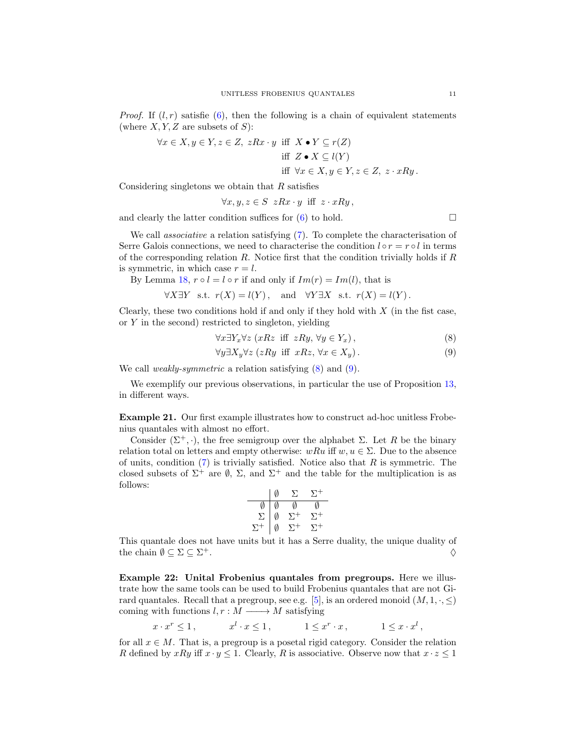*Proof.* If  $(l, r)$  satisfie  $(6)$ , then the following is a chain of equivalent statements (where  $X, Y, Z$  are subsets of  $S$ ):

$$
\forall x \in X, y \in Y, z \in Z, zRx \cdot y \text{ iff } X \bullet Y \subseteq r(Z)
$$
  
iff  $Z \bullet X \subseteq l(Y)$   
iff  $\forall x \in X, y \in Y, z \in Z, z \cdot xRy.$ 

Considering singletons we obtain that  $R$  satisfies

$$
\forall x, y, z \in S \ zRx \cdot y \ \text{iff} \ z \cdot xRy \,,
$$

and clearly the latter condition suffices for  $(6)$  to hold.  $\square$ 

We call *associative* a relation satisfying [\(7\)](#page-9-0). To complete the characterisation of Serre Galois connections, we need to characterise the condition  $l \circ r = r \circ l$  in terms of the corresponding relation  $R$ . Notice first that the condition trivially holds if  $R$ is symmetric, in which case  $r = l$ .

By Lemma [18,](#page-8-1)  $r \circ l = l \circ r$  if and only if  $Im(r) = Im(l)$ , that is

$$
\forall X \exists Y \text{ s.t. } r(X) = l(Y), \text{ and } \forall Y \exists X \text{ s.t. } r(X) = l(Y).
$$

Clearly, these two conditions hold if and only if they hold with  $X$  (in the fist case, or  $Y$  in the second) restricted to singleton, yielding

$$
\forall x \exists Y_x \forall z \ (xRz \ \text{iff} \ zRy, \forall y \in Y_x), \tag{8}
$$

$$
\forall y \exists X_y \forall z \ (zRy \text{ iff } xRz, \forall x \in X_y). \tag{9}
$$

We call *weakly-symmetric* a relation satisfying  $(8)$  and  $(9)$ .

We exemplify our previous observations, in particular the use of Proposition [13,](#page-7-1) in different ways.

Example 21. Our first example illustrates how to construct ad-hoc unitless Frobenius quantales with almost no effort.

Consider  $(\Sigma^+, \cdot)$ , the free semigroup over the alphabet  $\Sigma$ . Let R be the binary relation total on letters and empty otherwise:  $wRu$  iff  $w, u \in \Sigma$ . Due to the absence of units, condition  $(7)$  is trivially satisfied. Notice also that R is symmetric. The closed subsets of  $\Sigma^+$  are  $\emptyset$ ,  $\Sigma$ , and  $\Sigma^+$  and the table for the multiplication is as follows:  $\mathbf{r}$ 

$$
\begin{array}{c|cccc}\n & \emptyset & \Sigma & \Sigma^+ \\
\hline\n\emptyset & \emptyset & \emptyset & \emptyset \\
\Sigma & \emptyset & \Sigma^+ & \Sigma^+ \\
\Sigma^+ & \emptyset & \Sigma^+ & \Sigma^+\n\end{array}
$$

This quantale does not have units but it has a Serre duality, the unique duality of the chain  $\emptyset \subseteq \Sigma \subseteq \Sigma^+$ .  $+$ .

Example 22: Unital Frobenius quantales from pregroups. Here we illustrate how the same tools can be used to build Frobenius quantales that are not Gi-rard quantales. Recall that a pregroup, see e.g. [\[5\]](#page-23-4), is an ordered monoid  $(M, 1, \cdot, \leq)$ coming with functions  $l, r : M \longrightarrow M$  satisfying

$$
x \cdot x^r \le 1, \qquad x^l \cdot x \le 1, \qquad 1 \le x^r \cdot x, \qquad 1 \le x \cdot x^l,
$$

for all  $x \in M$ . That is, a pregroup is a posetal rigid category. Consider the relation R defined by  $xRy$  iff  $x \cdot y \leq 1$ . Clearly, R is associative. Observe now that  $x \cdot z \leq 1$ 

<span id="page-10-1"></span><span id="page-10-0"></span>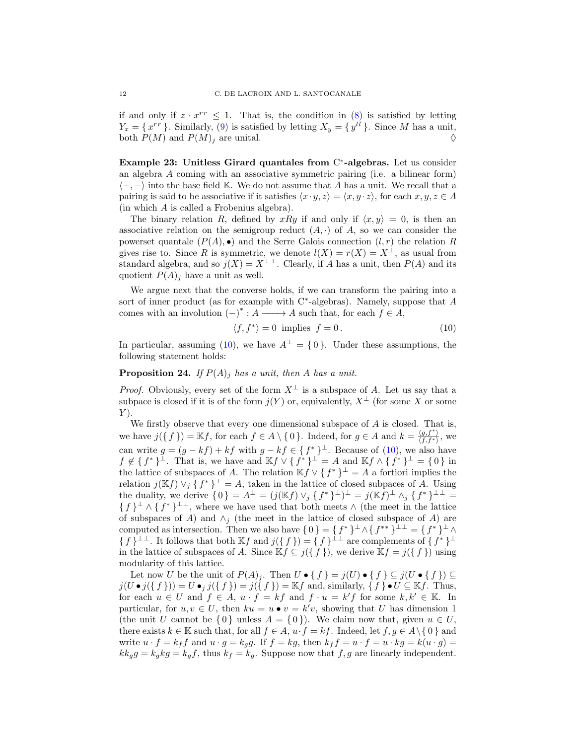if and only if  $z \cdot x^{rr} \leq 1$ . That is, the condition in [\(8\)](#page-10-0) is satisfied by letting  $Y_x = \{x^{rr}\}\.$  Similarly, [\(9\)](#page-10-1) is satisfied by letting  $X_y = \{y^{ll}\}\.$  Since M has a unit, both  $P(M)$  and  $P(M)_i$  are unital.

Example 23: Unitless Girard quantales from C<sup>\*</sup>-algebras. Let us consider an algebra A coming with an associative symmetric pairing (i.e. a bilinear form)  $\langle -, - \rangle$  into the base field K. We do not assume that A has a unit. We recall that a pairing is said to be associative if it satisfies  $\langle x \cdot y, z \rangle = \langle x, y \cdot z \rangle$ , for each  $x, y, z \in A$ (in which A is called a Frobenius algebra).

The binary relation R, defined by xRy if and only if  $\langle x, y \rangle = 0$ , is then an associative relation on the semigroup reduct  $(A, \cdot)$  of A, so we can consider the powerset quantale  $(P(A), \bullet)$  and the Serre Galois connection  $(l, r)$  the relation R gives rise to. Since R is symmetric, we denote  $l(X) = r(X) = X^{\perp}$ , as usual from standard algebra, and so  $j(X) = X^{\perp \perp}$ . Clearly, if A has a unit, then  $P(A)$  and its quotient  $P(A)_j$  have a unit as well.

We argue next that the converse holds, if we can transform the pairing into a sort of inner product (as for example with C<sup>∗</sup>-algebras). Namely, suppose that A comes with an involution  $(-)^* : A \longrightarrow A$  such that, for each  $f \in A$ ,

<span id="page-11-0"></span>
$$
\langle f, f^* \rangle = 0 \text{ implies } f = 0. \tag{10}
$$

In particular, assuming [\(10\)](#page-11-0), we have  $A^{\perp} = \{0\}$ . Under these assumptions, the following statement holds:

## **Proposition 24.** If  $P(A)_i$  has a unit, then A has a unit.

*Proof.* Obviously, every set of the form  $X^{\perp}$  is a subspace of A. Let us say that a subpace is closed if it is of the form  $j(Y)$  or, equivalently,  $X^{\perp}$  (for some X or some  $Y$ ).

We firstly observe that every one dimensional subspace of  $A$  is closed. That is, we have  $j(\lbrace f \rbrace) = \mathbb{K}f$ , for each  $f \in A \setminus \lbrace 0 \rbrace$ . Indeed, for  $g \in A$  and  $k = \frac{\langle g, f^* \rangle}{\langle f, f^* \rangle}$ , we  $\langle f, f^* \rangle$ can write  $g = (g - kf) + kf$  with  $g - kf \in \{f^*\}^\perp$ . Because of [\(10\)](#page-11-0), we also have  $f \notin \{f^*\}^{\perp}$ . That is, we have and  $\mathbb{K} f \vee \{f^*\}^{\perp} = A$  and  $\mathbb{K} f \wedge \{f^*\}^{\perp} = \{0\}$  in the lattice of subspaces of A. The relation  $\mathbb{K} f \vee \{f^*\}^{\perp} = A$  a fortiori implies the relation  $j(Kf) \vee_j \{f^*\}^{\perp} = A$ , taken in the lattice of closed subpaces of A. Using the duality, we derive  $\{0\} = A^{\perp} = (j(\mathbb{K}f) \vee_j \{f^*\}^{\perp})^{\perp} = j(\mathbb{K}f)^{\perp} \wedge_j \{f^*\}^{\perp \perp} =$  $\{f\}^{\perp} \wedge \{f^*\}^{\perp\perp}$ , where we have used that both meets  $\wedge$  (the meet in the lattice of subspaces of A) and  $\wedge_i$  (the meet in the lattice of closed subspace of A) are computed as intersection. Then we also have  $\{0\} = \{f^*\}\perp \wedge \{f^{**}\}\perp \perp = \{f^*\}\perp \wedge \{\emptyset\}$  $\{f\}^{\perp\perp}$ . It follows that both  $\mathbb{K}f$  and  $j(\{f\}) = \{f\}^{\perp\perp}$  are complements of  $\{f^*\}^{\perp}$ in the lattice of subspaces of A. Since  $\mathbb{K} f \subseteq j(\lbrace f \rbrace)$ , we derive  $\mathbb{K} f = j(\lbrace f \rbrace)$  using modularity of this lattice.

Let now U be the unit of  $P(A)_j$ . Then  $U \bullet \{ f \} = j(U) \bullet \{ f \} \subseteq j(U \bullet \{ f \}) \subseteq$  $j(U \bullet j({f}) = U \bullet_j j({f}) = j({f}) = \mathbb{K}f$  and, similarly,  ${f \bullet U \subseteq \mathbb{K}f}$ . Thus, for each  $u \in U$  and  $f \in A$ ,  $u \cdot f = kf$  and  $f \cdot u = k'f$  for some  $k, k' \in \mathbb{K}$ . In particular, for  $u, v \in U$ , then  $ku = u \bullet v = k'v$ , showing that U has dimension 1 (the unit U cannot be  $\{0\}$  unless  $A = \{0\}$ ). We claim now that, given  $u \in U$ , there exists  $k \in \mathbb{K}$  such that, for all  $f \in A$ ,  $u \cdot f = kf$ . Indeed, let  $f, g \in A \setminus \{0\}$  and write  $u \cdot f = k_f f$  and  $u \cdot g = k_g g$ . If  $f = kg$ , then  $k_f f = u \cdot f = u \cdot kg = k(u \cdot g)$  $kk_g g = k_g kg = k_g f$ , thus  $k_f = k_g$ . Suppose now that  $f, g$  are linearly independent.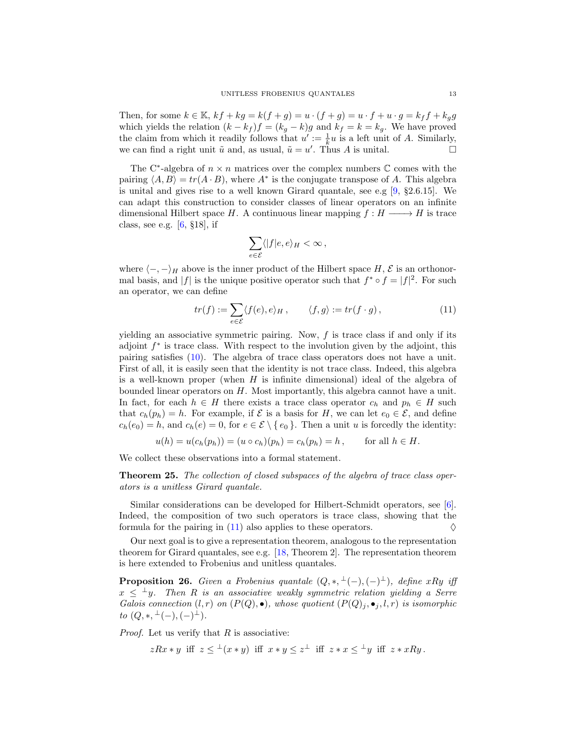Then, for some  $k \in \mathbb{K}$ ,  $kf + kg = k(f + g) = u \cdot (f + g) = u \cdot f + u \cdot g = k_f f + k_g g$ which yields the relation  $(k - k_f)f = (k_g - k)g$  and  $k_f = k = k_g$ . We have proved the claim from which it readily follows that  $u' := \frac{1}{k}u$  is a left unit of A. Similarly, we can find a right unit  $\tilde{u}$  and, as usual,  $\tilde{u} = u'$ . Thus A is unital.

The C<sup>∗</sup>-algebra of  $n \times n$  matrices over the complex numbers  $\mathbb C$  comes with the pairing  $\langle A, B \rangle = tr(A \cdot B)$ , where  $A^*$  is the conjugate transpose of A. This algebra is unital and gives rise to a well known Girard quantale, see e.g  $[9, §2.6.15]$  $[9, §2.6.15]$ . We can adapt this construction to consider classes of linear operators on an infinite dimensional Hilbert space H. A continuous linear mapping  $f : H \longrightarrow H$  is trace class, see e.g. [\[6,](#page-24-18) §18], if

<span id="page-12-0"></span>
$$
\sum_{e\in\mathcal{E}}\langle |f|e,e\rangle_H<\infty\,,
$$

where  $\langle -, - \rangle_H$  above is the inner product of the Hilbert space H,  $\mathcal E$  is an orthonormal basis, and  $|f|$  is the unique positive operator such that  $f^* \circ f = |f|^2$ . For such an operator, we can define

$$
tr(f) := \sum_{e \in \mathcal{E}} \langle f(e), e \rangle_H, \qquad \langle f, g \rangle := tr(f \cdot g), \tag{11}
$$

yielding an associative symmetric pairing. Now,  $f$  is trace class if and only if its adjoint  $f^*$  is trace class. With respect to the involution given by the adjoint, this pairing satisfies [\(10\)](#page-11-0). The algebra of trace class operators does not have a unit. First of all, it is easily seen that the identity is not trace class. Indeed, this algebra is a well-known proper (when  $H$  is infinite dimensional) ideal of the algebra of bounded linear operators on H. Most importantly, this algebra cannot have a unit. In fact, for each  $h \in H$  there exists a trace class operator  $c_h$  and  $p_h \in H$  such that  $c_h(p_h) = h$ . For example, if  $\mathcal E$  is a basis for H, we can let  $e_0 \in \mathcal E$ , and define  $c_h(e_0) = h$ , and  $c_h(e) = 0$ , for  $e \in \mathcal{E} \setminus \{e_0\}$ . Then a unit u is forcedly the identity:

$$
u(h) = u(c_h(p_h)) = (u \circ c_h)(p_h) = c_h(p_h) = h
$$
, for all  $h \in H$ .

We collect these observations into a formal statement.

Theorem 25. The collection of closed subspaces of the algebra of trace class operators is a unitless Girard quantale.

Similar considerations can be developed for Hilbert-Schmidt operators, see [\[6\]](#page-24-18). Indeed, the composition of two such operators is trace class, showing that the formula for the pairing in [\(11\)](#page-12-0) also applies to these operators.  $\Diamond$ 

Our next goal is to give a representation theorem, analogous to the representation theorem for Girard quantales, see e.g. [\[18,](#page-24-1) Theorem 2]. The representation theorem is here extended to Frobenius and unitless quantales.

**Proposition 26.** Given a Frobenius quantale  $(Q, *, \perp (-), (-) \perp)$ , define xRy iff  $x \leq \pm y$ . Then R is an associative weakly symmetric relation yielding a Serre Galois connection  $(l, r)$  on  $(P(Q), \bullet)$ , whose quotient  $(P(Q)_j, \bullet_j, l, r)$  is isomorphic  $to (Q, *, \perp(-), (-)^{\perp}).$ 

*Proof.* Let us verify that  $R$  is associative:

$$
zRx \ast y \ \text{ iff } \ z \leq^{\perp}(x \ast y) \ \text{ iff } \ x \ast y \leq z^{\perp} \ \text{ iff } \ z \ast x \leq^{\perp}y \ \text{ iff } \ z \ast xRy \, .
$$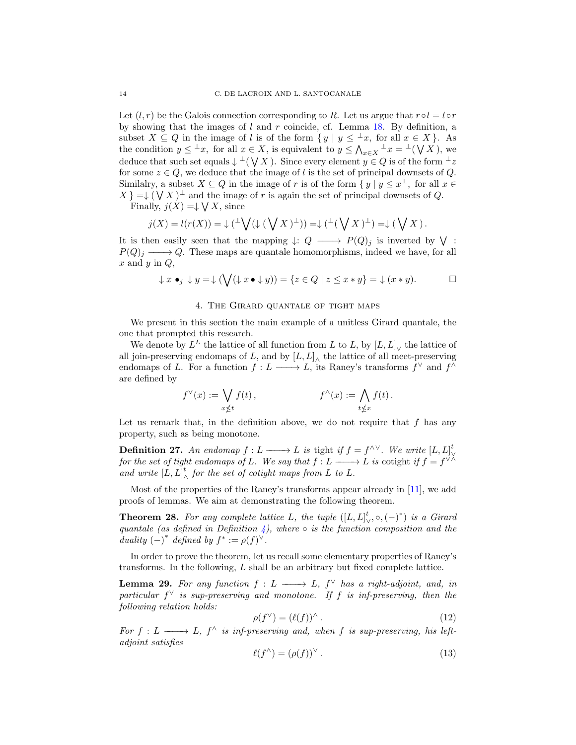Let  $(l, r)$  be the Galois connection corresponding to R. Let us argue that  $r \circ l = l \circ r$ by showing that the images of  $l$  and  $r$  coincide, cf. Lemma [18.](#page-8-1) By definition, a subset  $X \subseteq Q$  in the image of l is of the form  $\{y \mid y \leq \perp x$ , for all  $x \in X\}$ . As the condition  $y \leq x$ , for all  $x \in X$ , is equivalent to  $y \leq \bigwedge_{x \in X} x = x$  ( $\bigvee X$ ), we deduce that such set equals  $\downarrow \perp (\bigvee X)$ . Since every element  $y \in Q$  is of the form  $\perp z$ for some  $z \in Q$ , we deduce that the image of l is the set of principal downsets of Q. Similalry, a subset  $X \subseteq Q$  in the image of r is of the form  $\{y \mid y \leq x^{\perp}$ , for all  $x \in \mathbb{R}$  $X = \downarrow (V X)^{\perp}$  and the image of r is again the set of principal downsets of Q.

Finally,  $j(X) = \downarrow \bigvee X$ , since

$$
j(X) = l(r(X)) = \downarrow (\perp \bigvee (\downarrow (\bigvee X)^{\perp})) = \downarrow (\perp (\bigvee X)^{\perp}) = \downarrow (\bigvee X).
$$

It is then easily seen that the mapping  $\downarrow: Q \longrightarrow P(Q)_j$  is inverted by  $\bigvee$ :  $P(Q)<sub>j</sub> \longrightarrow Q$ . These maps are quantale homomorphisms, indeed we have, for all  $x$  and  $y$  in  $Q$ ,

$$
\downarrow x \bullet_j \downarrow y = \downarrow (\bigvee (\downarrow x \bullet \downarrow y)) = \{ z \in Q \mid z \leq x * y \} = \downarrow (x * y).
$$

### 4. The Girard quantale of tight maps

<span id="page-13-0"></span>We present in this section the main example of a unitless Girard quantale, the one that prompted this research.

We denote by  $L^L$  the lattice of all function from L to L, by  $[L, L]$ <sub>V</sub> the lattice of all join-preserving endomaps of L, and by  $[L, L]$ <sup> $\wedge$ </sup> the lattice of all meet-preserving endomaps of L. For a function  $f: L \longrightarrow L$ , its Raney's transforms  $f^{\vee}$  and  $f^{\wedge}$ are defined by

$$
f^{\vee}(x) := \bigvee_{x \nleq t} f(t), \qquad f^{\wedge}(x) := \bigwedge_{t \nleq x} f(t).
$$

Let us remark that, in the definition above, we do not require that  $f$  has any property, such as being monotone.

**Definition 27.** An endomap  $f: L \longrightarrow L$  is tight if  $f = f^{\wedge \vee}$ . We write  $[L, L]$ for the set of tight endomaps of L. We say that  $f: L \longrightarrow L$  is cotight if  $f = f^{\vee \wedge}$ and write  $[L, L]$ <sup>t</sup>  $\frac{t}{\wedge}$  for the set of cotight maps from L to L.

Most of the properties of the Raney's transforms appear already in [\[11\]](#page-24-10), we add proofs of lemmas. We aim at demonstrating the following theorem.

<span id="page-13-3"></span>**Theorem 28.** For any complete lattice L, the tuple  $([L, L]_{\vee}^t, \circ, (-)^*)$  is a Girard quantale (as defined in Definition [4\)](#page-4-0), where  $\circ$  is the function composition and the duality  $(-)^*$  defined by  $f^* := \rho(f)^{\vee}$ .

In order to prove the theorem, let us recall some elementary properties of Raney's transforms. In the following, L shall be an arbitrary but fixed complete lattice.

<span id="page-13-2"></span>**Lemma 29.** For any function  $f: L \longrightarrow L$ ,  $f^{\vee}$  has a right-adjoint, and, in particular  $f^{\vee}$  is sup-preserving and monotone. If f is inf-preserving, then the following relation holds:

<span id="page-13-1"></span>
$$
\rho(f^{\vee}) = (\ell(f))^{\wedge} \,. \tag{12}
$$

For  $f: L \longrightarrow L$ ,  $f^{\wedge}$  is inf-preserving and, when f is sup-preserving, his leftadjoint satisfies

$$
\ell(f^{\wedge}) = (\rho(f))^{\vee}.
$$
 (13)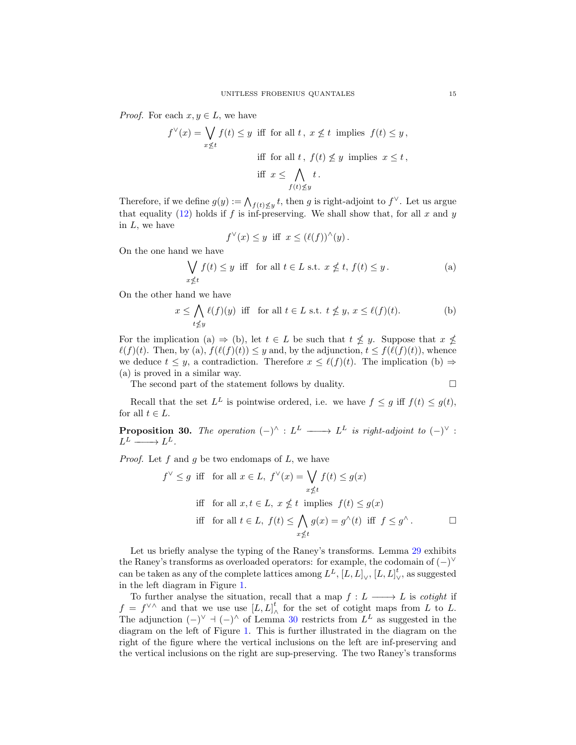*Proof.* For each  $x, y \in L$ , we have

$$
f^{\vee}(x) = \bigvee_{x \le t} f(t) \le y \text{ iff for all } t, x \nle t \text{ implies } f(t) \le y,
$$
  
iff for all  $t, f(t) \nle y$  implies  $x \le t$ ,  
iff  $x \le \bigwedge_{f(t) \nle y} t$ .

Therefore, if we define  $g(y) := \bigwedge_{f(t) \leq y} t$ , then g is right-adjoint to  $f^{\vee}$ . Let us argue that equality [\(12\)](#page-13-1) holds if f is inf-preserving. We shall show that, for all x and y in L, we have

$$
f^{\vee}(x) \leq y
$$
 iff  $x \leq (\ell(f))^{\wedge}(y)$ .

On the one hand we have

$$
\bigvee_{x \nleq t} f(t) \leq y \quad \text{iff} \quad \text{for all } t \in L \text{ s.t. } x \nleq t, \ f(t) \leq y. \tag{a}
$$

On the other hand we have

$$
x \le \bigwedge_{t \nle y} \ell(f)(y) \text{ iff for all } t \in L \text{ s.t. } t \nleq y, \, x \le \ell(f)(t). \tag{b}
$$

For the implication (a)  $\Rightarrow$  (b), let  $t \in L$  be such that  $t \not\leq y$ . Suppose that  $x \not\leq$  $\ell(f)(t)$ . Then, by (a),  $f(\ell(f)(t)) \leq y$  and, by the adjunction,  $t \leq f(\ell(f)(t))$ , whence we deduce  $t \leq y$ , a contradiction. Therefore  $x \leq \ell(f)(t)$ . The implication (b)  $\Rightarrow$ (a) is proved in a similar way.

The second part of the statement follows by duality.

$$
\qquad \qquad \Box
$$

Recall that the set  $L^L$  is pointwise ordered, i.e. we have  $f \leq g$  iff  $f(t) \leq g(t)$ , for all  $t \in L$ .

<span id="page-14-0"></span>**Proposition 30.** The operation  $(-)^{\wedge}$  :  $L^L \longrightarrow L^L$  is right-adjoint to  $(-)^{\vee}$  :  $L^L \longrightarrow L^L.$ 

*Proof.* Let f and g be two endomaps of  $L$ , we have

$$
f^{\vee} \leq g \text{ iff for all } x \in L, f^{\vee}(x) = \bigvee_{x \nleq t} f(t) \leq g(x)
$$
  
iff for all  $x, t \in L, x \nleq t$  implies  $f(t) \leq g(x)$   
iff for all  $t \in L, f(t) \leq \bigwedge_{x \nleq t} g(x) = g^{\wedge}(t)$  iff  $f \leq g^{\wedge}$ .

Let us briefly analyse the typing of the Raney's transforms. Lemma [29](#page-13-2) exhibits the Raney's transforms as overloaded operators: for example, the codomain of  $(-)^\vee$ can be taken as any of the complete lattices among  $L^L$ ,  $[L, L]_{\vee}$ ,  $[L, L]_{\vee}$  $\frac{\iota}{\vee}$ , as suggested in the left diagram in Figure [1.](#page-15-0)

To further analyse the situation, recall that a map  $f: L \longrightarrow L$  is *cotight* if  $f = f^{\vee} \wedge$  and that we use use  $[L, L]$  $\lambda$  for the set of cotight maps from L to L. The adjunction  $(-)^{\vee}$   $+$   $(-)^{\wedge}$  of Lemma [30](#page-14-0) restricts from  $L^L$  as suggested in the diagram on the left of Figure [1.](#page-15-0) This is further illustrated in the diagram on the right of the figure where the vertical inclusions on the left are inf-preserving and the vertical inclusions on the right are sup-preserving. The two Raney's transforms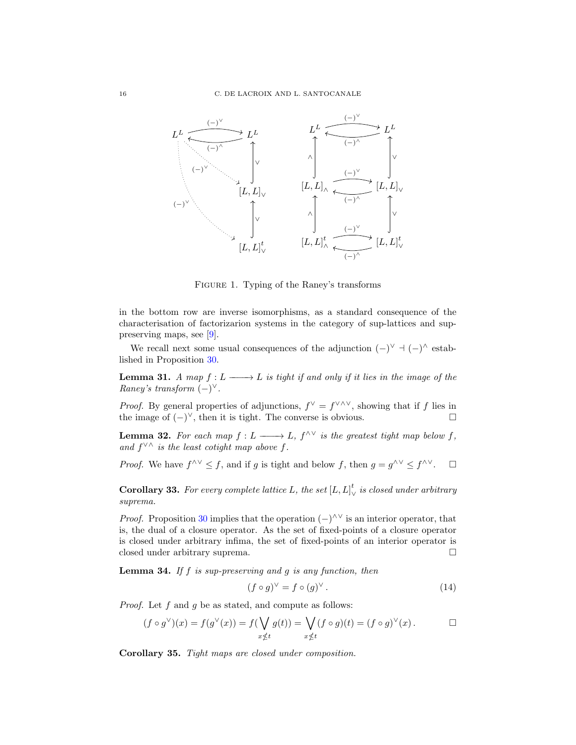

<span id="page-15-0"></span>Figure 1. Typing of the Raney's transforms

in the bottom row are inverse isomorphisms, as a standard consequence of the characterisation of factorizarion systems in the category of sup-lattices and suppreserving maps, see [\[9\]](#page-24-2).

We recall next some usual consequences of the adjunction  $(-)^{\vee}$   $\vdash$   $(-)^{\wedge}$  established in Proposition [30.](#page-14-0)

<span id="page-15-2"></span>**Lemma 31.** A map  $f: L \longrightarrow L$  is tight if and only if it lies in the image of the Raney's transform  $(-)^{\vee}$ .

*Proof.* By general properties of adjunctions,  $f^{\vee} = f^{\vee \wedge \vee}$ , showing that if f lies in the image of  $(-)^\vee$ , then it is tight. The converse is obvious.  $□$ 

<span id="page-15-5"></span>**Lemma 32.** For each map  $f: L \longrightarrow L$ ,  $f^{\wedge \vee}$  is the greatest tight map below f, and  $f^{\vee \wedge}$  is the least cotight map above f.

*Proof.* We have  $f^{\wedge \vee} \leq f$ , and if g is tight and below f, then  $g = g^{\wedge \vee} \leq f^{\wedge \vee}$ .  $\Box$ 

<span id="page-15-3"></span>**Corollary 33.** For every complete lattice L, the set  $[L, L]$ <sup>t</sup>.  $\frac{u}{\sqrt{v}}$  is closed under arbitrary suprema.

*Proof.* Proposition [30](#page-14-0) implies that the operation  $(-)^{\wedge \vee}$  is an interior operator, that is, the dual of a closure operator. As the set of fixed-points of a closure operator is closed under arbitrary infima, the set of fixed-points of an interior operator is closed under arbitrary suprema.

**Lemma 34.** If  $f$  is sup-preserving and  $g$  is any function, then

<span id="page-15-1"></span>
$$
(f \circ g)^\vee = f \circ (g)^\vee. \tag{14}
$$

*Proof.* Let  $f$  and  $g$  be as stated, and compute as follows:

$$
(f \circ g^{\vee})(x) = f(g^{\vee}(x)) = f(\bigvee_{x \notin t} g(t)) = \bigvee_{x \notin t} (f \circ g)(t) = (f \circ g)^{\vee}(x).
$$

<span id="page-15-4"></span>Corollary 35. Tight maps are closed under composition.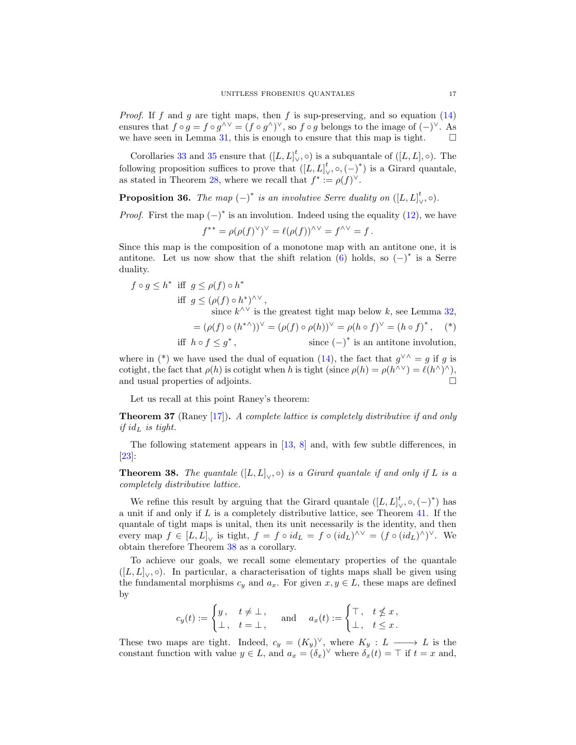*Proof.* If f and g are tight maps, then f is sup-preserving, and so equation  $(14)$ ensures that  $f \circ g = f \circ g^{\wedge \vee} = (f \circ g^{\wedge})^{\vee}$ , so  $f \circ g$  belongs to the image of  $(-)^{\vee}$ . As we have seen in Lemma [31,](#page-15-2) this is enough to ensure that this map is tight.  $\square$ 

Corollaries [33](#page-15-3) and [35](#page-15-4) ensure that  $([L, L]_{\vee}^t, \circ)$  is a subquantale of  $([L, L], \circ)$ . The following proposition suffices to prove that  $([L, L]_V^t$ ,  $\circ$ ,  $(-)^*$ ) is a Girard quantale, as stated in Theorem [28,](#page-13-3) where we recall that  $f^* := \rho(f)^{\vee}$ .

**Proposition 36.** The map  $(-)^*$  is an involutive Serre duality on  $([L, L]_{\setminus}^t)$  $\binom{t}{\vee}, \circ$ ).

*Proof.* First the map  $(-)^*$  is an involution. Indeed using the equality [\(12\)](#page-13-1), we have

$$
f^{**} = \rho(\rho(f)^{\vee})^{\vee} = \ell(\rho(f))^{\wedge \vee} = f^{\wedge \vee} = f.
$$

Since this map is the composition of a monotone map with an antitone one, it is antitone. Let us now show that the shift relation [\(6\)](#page-7-0) holds, so  $(-)^*$  is a Serre duality.

$$
f \circ g \le h^* \text{ iff } g \le \rho(f) \circ h^* \text{ for } g \le (\rho(f) \circ h^*)^{\wedge \vee},
$$
  
if  $g \le (\rho(f) \circ h^*)^{\wedge \vee}$ ,  
since  $k^{\wedge \vee}$  is the greatest tight map below k, see Lemma 32,  
 $= (\rho(f) \circ (h^{*\wedge}))^{\vee} = (\rho(f) \circ \rho(h))^{\vee} = \rho(h \circ f)^{\vee} = (h \circ f)^*,$  (\*)  
if  $h \circ f \le g^*$ , since  $(-)^*$  is an antitone involution,

where in (\*) we have used the dual of equation [\(14\)](#page-15-1), the fact that  $g^{\vee} \wedge = g$  if g is cotight, the fact that  $\rho(h)$  is cotight when h is tight (since  $\rho(h) = \rho(h^{\wedge}{}^{\vee}) = \ell(h^{\wedge})^{\wedge}$ ), and usual properties of adjoints.

Let us recall at this point Raney's theorem:

Theorem 37 (Raney [\[17\]](#page-24-9)). A complete lattice is completely distributive if and only if  $id_L$  is tight.

The following statement appears in [\[13,](#page-24-6) [8\]](#page-24-4) and, with few subtle differences, in [\[23\]](#page-24-7):

<span id="page-16-0"></span>**Theorem 38.** The quantale  $([L, L]_{\vee}, \circ)$  is a Girard quantale if and only if L is a completely distributive lattice.

We refine this result by arguing that the Girard quantale  $([L, L]_{\vee}^t, \circ, (-)^*)$  has a unit if and only if L is a completely distributive lattice, see Theorem [41.](#page-17-1) If the quantale of tight maps is unital, then its unit necessarily is the identity, and then every map  $f \in [L, L]_{\vee}$  is tight,  $f = f \circ id_L = f \circ (id_L)^{\wedge \vee} = (f \circ (id_L)^{\wedge})^{\vee}$ . We obtain therefore Theorem [38](#page-16-0) as a corollary.

To achieve our goals, we recall some elementary properties of the quantale  $([L, L]_{\vee}, \circ)$ . In particular, a characterisation of tights maps shall be given using the fundamental morphisms  $c_y$  and  $a_x$ . For given  $x, y \in L$ , these maps are defined by

$$
c_y(t) := \begin{cases} y, & t \neq \bot, \\ \bot, & t = \bot, \end{cases} \quad \text{and} \quad a_x(t) := \begin{cases} \top, & t \nleq x, \\ \bot, & t \leq x. \end{cases}
$$

These two maps are tight. Indeed,  $c_y = (K_y)^\vee$ , where  $K_y : L \longrightarrow L$  is the constant function with value  $y \in L$ , and  $a_x = (\delta_x)^\vee$  where  $\delta_x(t) = \top$  if  $t = x$  and,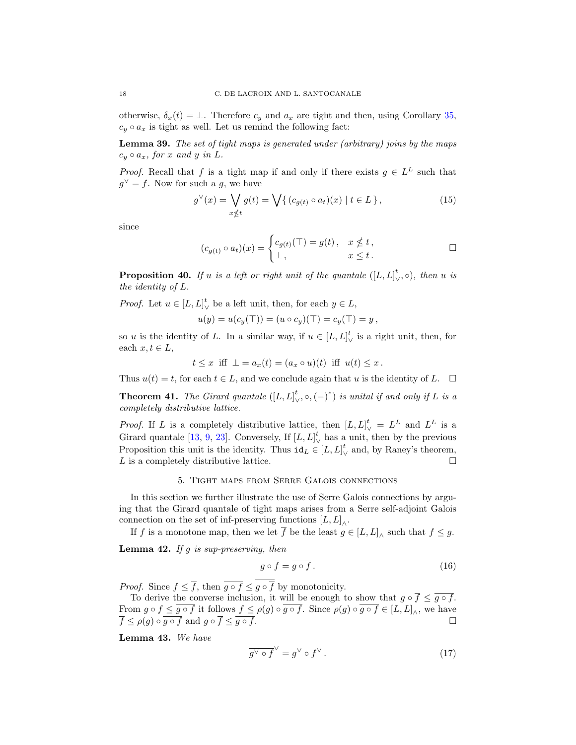otherwise,  $\delta_x(t) = \bot$ . Therefore  $c_y$  and  $a_x$  are tight and then, using Corollary [35,](#page-15-4)  $c_y \circ a_x$  is tight as well. Let us remind the following fact:

<span id="page-17-4"></span>Lemma 39. The set of tight maps is generated under (arbitrary) joins by the maps  $c_y \circ a_x$ , for x and y in L.

*Proof.* Recall that f is a tight map if and only if there exists  $g \in L^L$  such that  $g^{\vee} = f$ . Now for such a g, we have

$$
g^{\vee}(x) = \bigvee_{x \nleq t} g(t) = \bigvee \{ (c_{g(t)} \circ a_t)(x) \mid t \in L \}, \tag{15}
$$

since

$$
(c_{g(t)} \circ a_t)(x) = \begin{cases} c_{g(t)}(\top) = g(t), & x \nleq t, \\ \bot, & x \leq t. \end{cases} \square
$$

**Proposition 40.** If u is a left or right unit of the quantale  $([L, L]_N^t)$  $\binom{t}{\vee}, \circ$ , then u is the identity of L.

*Proof.* Let  $u \in [L, L]_{\chi}^{t}$  $\bigvee^{\iota}$  be a left unit, then, for each  $y \in L$ ,

$$
u(y)=u(c_y(\top))=(u\circ c_y)(\top)=c_y(\top)=y\,,
$$

so u is the identity of L. In a similar way, if  $u \in [L, L]$ ,  $\frac{\iota}{\sqrt{2}}$  is a right unit, then, for each  $x, t \in L$ ,

 $t \leq x$  iff  $\bot = a_x(t) = (a_x \circ u)(t)$  iff  $u(t) \leq x$ .

Thus  $u(t) = t$ , for each  $t \in L$ , and we conclude again that u is the identity of L.  $\Box$ 

<span id="page-17-1"></span>**Theorem 41.** The Girard quantale  $([L, L]_N^t)$  $(v_1, \circ, (-)^*)$  is unital if and only if L is a completely distributive lattice.

*Proof.* If L is a completely distributive lattice, then  $[L, L]_{\vee}^t = L^L$  and  $L^L$  is a Girard quantale [\[13,](#page-24-6) [9,](#page-24-2) [23\]](#page-24-7). Conversely, If  $[L, L]$ <sup>t</sup>.  $\bigvee_{k=1}^{k}$  has a unit, then by the previous Proposition this unit is the identity. Thus  $id_L \in [L, L]$ <sup>t</sup>  $\frac{\mu}{\sqrt{2}}$  and, by Raney's theorem, L is a completely distributive lattice.

## 5. Tight maps from Serre Galois connections

<span id="page-17-0"></span>In this section we further illustrate the use of Serre Galois connections by arguing that the Girard quantale of tight maps arises from a Serre self-adjoint Galois connection on the set of inf-preserving functions  $[L, L]_{\wedge}$ .

If f is a monotone map, then we let f be the least  $g \in [L, L]$ <sub> $\wedge$ </sub> such that  $f \leq g$ .

**Lemma 42.** If g is sup-preserving, then

<span id="page-17-2"></span>
$$
\overline{g \circ f} = \overline{g \circ f} \,. \tag{16}
$$

*Proof.* Since  $f \leq \overline{f}$ , then  $\overline{g \circ f} \leq \overline{g \circ \overline{f}}$  by monotonicity.

To derive the converse inclusion, it will be enough to show that  $g \circ \overline{f} \leq \overline{g \circ f}$ . From  $g \circ f \leq g \circ f$  it follows  $f \leq \rho(g) \circ g \circ f$ . Since  $\rho(g) \circ g \circ f \in [L, L]_{\wedge}$ , we have  $\overline{f} \leq \rho(g) \circ \overline{g \circ f}$  and  $g \circ \overline{f} \leq \overline{g \circ f}$ .

Lemma 43. We have

<span id="page-17-3"></span>
$$
\overline{g^{\vee} \circ f}^{\vee} = g^{\vee} \circ f^{\vee} \,. \tag{17}
$$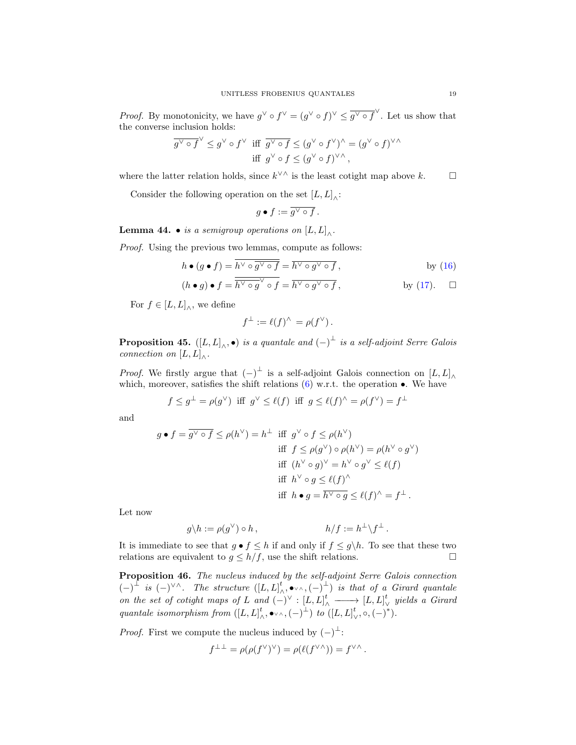*Proof.* By monotonicity, we have  $g^{\vee} \circ f^{\vee} = (g^{\vee} \circ f)^{\vee} \leq \overline{g^{\vee} \circ f}^{\vee}$ . Let us show that the converse inclusion holds:

$$
\overline{g^{\vee} \circ f}^{\vee} \leq g^{\vee} \circ f^{\vee} \text{ iff } \overline{g^{\vee} \circ f} \leq (g^{\vee} \circ f^{\vee})^{\wedge} = (g^{\vee} \circ f)^{\vee \wedge}
$$
  
iff 
$$
g^{\vee} \circ f \leq (g^{\vee} \circ f)^{\vee \wedge},
$$

where the latter relation holds, since  $k^{\vee \wedge}$  is the least cotight map above k.  $\Box$ 

Consider the following operation on the set  $[L, L]$ <sub>∧</sub>:

$$
g \bullet f := \overline{g^{\vee} \circ f}.
$$

**Lemma 44. •** is a semigroup operations on  $[L,L]_{\wedge}$ .

Proof. Using the previous two lemmas, compute as follows:

$$
h \bullet (g \bullet f) = \overline{h^{\vee} \circ g^{\vee} \circ f} = \overline{h^{\vee} \circ g^{\vee} \circ f}, \qquad \text{by (16)}
$$

$$
(h \bullet g) \bullet f = \overline{h^{\vee} \circ g}^{\vee} \circ f = \overline{h^{\vee} \circ g^{\vee} \circ f}, \qquad \text{by (17).} \quad \Box
$$

For  $f \in [L, L]_{\wedge}$ , we define

$$
f^{\perp} := \ell(f)^{\wedge} = \rho(f^{\vee}).
$$

**Proposition 45.**  $([L, L]_{\wedge}, \bullet)$  is a quantale and  $(-)^{\perp}$  is a self-adjoint Serre Galois connection on  $[L,L]_{\wedge}$ .

*Proof.* We firstly argue that  $(-)^{\perp}$  is a self-adjoint Galois connection on  $[L, L]_{\wedge}$ which, moreover, satisfies the shift relations  $(6)$  w.r.t. the operation  $\bullet$ . We have

$$
f \leq g^{\perp} = \rho(g^{\vee})
$$
 iff  $g^{\vee} \leq \ell(f)$  iff  $g \leq \ell(f)^{\wedge} = \rho(f^{\vee}) = f^{\perp}$ 

and

$$
g \bullet f = \overline{g^{\vee} \circ f} \le \rho(h^{\vee}) = h^{\perp} \text{ iff } g^{\vee} \circ f \le \rho(h^{\vee})
$$
  
iff  $f \le \rho(g^{\vee}) \circ \rho(h^{\vee}) = \rho(h^{\vee} \circ g^{\vee})$   
iff  $(h^{\vee} \circ g)^{\vee} = h^{\vee} \circ g^{\vee} \le \ell(f)$   
iff  $h^{\vee} \circ g \le \ell(f)^{\wedge}$   
iff  $h \bullet g = \overline{h^{\vee} \circ g} \le \ell(f)^{\wedge} = f^{\perp}.$ 

Let now

$$
g \backslash h := \rho(g^{\vee}) \circ h , \qquad h/f := h^{\perp} \backslash f^{\perp} .
$$

It is immediate to see that  $g \bullet f \leq h$  if and only if  $f \leq g \setminus h$ . To see that these two relations are equivalent to  $g \leq h/f$ , use the shift relations. relations are equivalent to  $g \leq h/f$ , use the shift relations.

Proposition 46. The nucleus induced by the self-adjoint Serre Galois connection  $(-)^{\perp}$  is  $(-)^{\vee \wedge}$ . The structure  $([L, L]_{\wedge}^t)$  $\lambda^t$ ,  $\bullet$  v $\land$ ,  $(-)$ <sup> $\perp$ </sup>) is that of a Girard quantale on the set of cotight maps of L and  $(-)^{\vee}$  :  $[L, L]_{\wedge}^t \longrightarrow [L, L]_{\vee}^t$ ∨ yields a Girard quantale isomorphism from  $([L, L]_k^t)$  $_{\wedge}^{t},\bullet\scriptscriptstyle\vee\wedge},(-)^{\perp})\ \ to\ \left([L,L]\right.^{t}$  $\bigvee^t$ ,  $\circ$ ,  $(-)^{*}$ ).

*Proof.* First we compute the nucleus induced by  $(-)^{\perp}$ :

$$
f^{\perp \perp} = \rho(\rho(f^{\vee})^{\vee}) = \rho(\ell(f^{\vee \wedge})) = f^{\vee \wedge}.
$$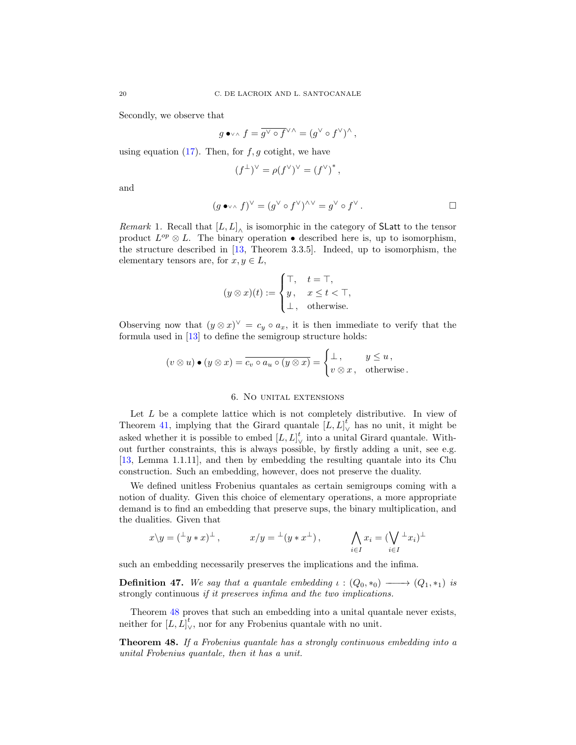Secondly, we observe that

$$
g\bullet\lor\land f=\overline{g^{\vee}\circ f^{\vee\land}}=(g^{\vee}\circ f^{\vee})^{\wedge},
$$

using equation  $(17)$ . Then, for  $f, g$  cotight, we have

$$
(f^{\perp})^{\vee} = \rho(f^{\vee})^{\vee} = (f^{\vee})^*,
$$

and

$$
(g\bullet\lor\land f)^\lor=(g^\lor\circ f^\lor)^{\land\lor}=g^\lor\circ f^\lor.
$$

Remark 1. Recall that  $[L, L]$ <sub>∧</sub> is isomorphic in the category of SLatt to the tensor product  $L^{op} \otimes L$ . The binary operation • described here is, up to isomorphism, the structure described in [\[13,](#page-24-6) Theorem 3.3.5]. Indeed, up to isomorphism, the elementary tensors are, for  $x, y \in L$ ,

$$
(y \otimes x)(t) := \begin{cases} \top, & t = \top, \\ y, & x \le t < \top, \\ \bot, & \text{otherwise.} \end{cases}
$$

Observing now that  $(y \otimes x)^{\vee} = c_y \circ a_x$ , it is then immediate to verify that the formula used in [\[13\]](#page-24-6) to define the semigroup structure holds:

$$
(v \otimes u) \bullet (y \otimes x) = \overline{c_v \circ a_u \circ (y \otimes x)} = \begin{cases} \bot, & y \leq u, \\ v \otimes x, & \text{otherwise.} \end{cases}
$$

## 6. No unital extensions

<span id="page-19-0"></span>Let  $L$  be a complete lattice which is not completely distributive. In view of Theorem [41,](#page-17-1) implying that the Girard quantale  $[L, L]_{\vee}^{t}$  has no unit, it might be asked whether it is possible to embed  $[L, L]_V^{\dagger}$  into a unit  $\frac{1}{\sqrt{2}}$  into a unital Girard quantale. Without further constraints, this is always possible, by firstly adding a unit, see e.g. [\[13,](#page-24-6) Lemma 1.1.11], and then by embedding the resulting quantale into its Chu construction. Such an embedding, however, does not preserve the duality.

We defined unitless Frobenius quantales as certain semigroups coming with a notion of duality. Given this choice of elementary operations, a more appropriate demand is to find an embedding that preserve sups, the binary multiplication, and the dualities. Given that

$$
x \backslash y = ({}^{\perp}y * x)^{\perp}
$$
,  $x/y = {}^{\perp}(y * x^{\perp})$ ,  $\bigwedge_{i \in I} x_i = (\bigvee_{i \in I} {}^{\perp}x_i)^{\perp}$ 

such an embedding necessarily preserves the implications and the infima.

**Definition 47.** We say that a quantale embedding  $\iota : (Q_0, *_0) \longrightarrow (Q_1, *_1)$  is strongly continuous *if it preserves infima and the two implications*.

Theorem [48](#page-19-1) proves that such an embedding into a unital quantale never exists, neither for  $[L, L]$ <sup>t</sup>  $<sup>ℓ</sup>$ , nor for any Frobenius quantale with no unit.</sup>

<span id="page-19-1"></span>Theorem 48. If a Frobenius quantale has a strongly continuous embedding into a unital Frobenius quantale, then it has a unit.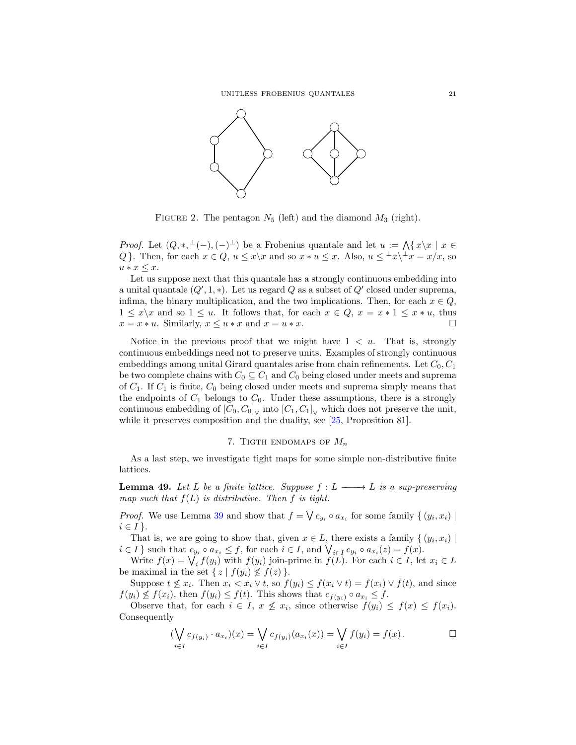

<span id="page-20-1"></span>FIGURE 2. The pentagon  $N_5$  (left) and the diamond  $M_3$  (right).

*Proof.* Let  $(Q, *, \perp (-), (-) \perp)$  be a Frobenius quantale and let  $u := \bigwedge \{x \mid x \in$ Q }. Then, for each  $x \in Q$ ,  $u \leq x \setminus x$  and so  $x * u \leq x$ . Also,  $u \leq x \setminus x = x/x$ , so  $u * x \leq x$ .

Let us suppose next that this quantale has a strongly continuous embedding into a unital quantale  $(Q', 1, *)$ . Let us regard Q as a subset of  $Q'$  closed under suprema, infima, the binary multiplication, and the two implications. Then, for each  $x \in Q$ ,  $1 \leq x \backslash x$  and so  $1 \leq u$ . It follows that, for each  $x \in Q$ ,  $x = x * 1 \leq x * u$ , thus  $x = x * u$ . Similarly,  $x \leq u * x$  and  $x = u * x$ .  $x = x * u$ . Similarly,  $x \le u * x$  and  $x = u * x$ .

Notice in the previous proof that we might have  $1 < u$ . That is, strongly continuous embeddings need not to preserve units. Examples of strongly continuous embeddings among unital Girard quantales arise from chain refinements. Let  $C_0, C_1$ be two complete chains with  $C_0 \subseteq C_1$  and  $C_0$  being closed under meets and suprema of  $C_1$ . If  $C_1$  is finite,  $C_0$  being closed under meets and suprema simply means that the endpoints of  $C_1$  belongs to  $C_0$ . Under these assumptions, there is a strongly continuous embedding of  $[C_0, C_0]_{\vee}$  into  $[C_1, C_1]_{\vee}$  which does not preserve the unit, while it preserves composition and the duality, see [\[25,](#page-24-13) Proposition 81].

## 7. TIGTH ENDOMAPS OF  $M_n$

<span id="page-20-0"></span>As a last step, we investigate tight maps for some simple non-distributive finite lattices.

<span id="page-20-2"></span>**Lemma 49.** Let L be a finite lattice. Suppose  $f : L \longrightarrow L$  is a sup-preserving map such that  $f(L)$  is distributive. Then f is tight.

*Proof.* We use Lemma [39](#page-17-4) and show that  $f = \bigvee c_{y_i} \circ a_{x_i}$  for some family  $\{(y_i, x_i) \mid$  $i \in I$ .

That is, we are going to show that, given  $x \in L$ , there exists a family  $\{(y_i, x_i) \mid$  $i \in I$  such that  $c_{y_i} \circ a_{x_i} \leq f$ , for each  $i \in I$ , and  $\bigvee_{i \in I} c_{y_i} \circ a_{x_i}(z) = f(x)$ .

Write  $f(x) = \bigvee_i f(y_i)$  with  $f(y_i)$  join-prime in  $f(L)$ . For each  $i \in I$ , let  $x_i \in L$ be maximal in the set  $\{ z \mid f(y_i) \nleq f(z) \}.$ 

Suppose  $t \not\leq x_i$ . Then  $x_i < x_i \vee t$ , so  $f(y_i) \leq f(x_i \vee t) = f(x_i) \vee f(t)$ , and since  $f(y_i) \nleq f(x_i)$ , then  $f(y_i) \leq f(t)$ . This shows that  $c_{f(y_i)} \circ a_{x_i} \leq f$ .

Observe that, for each  $i \in I$ ,  $x \not\leq x_i$ , since otherwise  $f(y_i) \leq f(x) \leq f(x_i)$ . Consequently

$$
(\bigvee_{i \in I} c_{f(y_i)} \cdot a_{x_i})(x) = \bigvee_{i \in I} c_{f(y_i)}(a_{x_i}(x)) = \bigvee_{i \in I} f(y_i) = f(x) . \qquad \Box
$$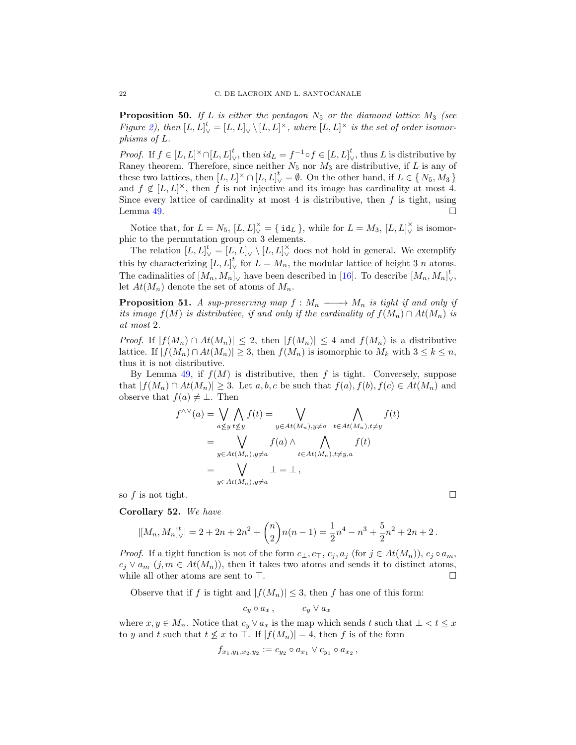**Proposition 50.** If L is either the pentagon  $N_5$  or the diamond lattice  $M_3$  (see Figure [2\)](#page-20-1), then  $[L, L]_{\vee}^t = [L, L]_{\vee} \setminus [L, L]^{\times}$ , where  $[L, L]^{\times}$  is the set of order isomorphisms of L.

*Proof.* If  $f \in [L, L]^{\times} \cap [L, L]_{\vee}^{t}$ , then  $id_L = f^{-1} \circ f \in [L, L]_{\vee}^{t}$ , thus L is distributive by Raney theorem. Therefore, since neither  $N_5$  nor  $M_3$  are distributive, if L is any of these two lattices, then  $[L, L]^{\times} \cap [L, L]_{\vee}^{t} = \emptyset$ . On the other hand, if  $L \in \{N_5, M_3\}$ and  $f \notin [L, L]^{\times}$ , then f is not injective and its image has cardinality at most 4. Since every lattice of cardinality at most 4 is distributive, then  $f$  is tight, using Lemma [49.](#page-20-2)  $\Box$ 

Notice that, for  $L = N_5$ ,  $[L, L]_{\vee}^{\times} = \{ \texttt{id}_L \}$ , while for  $L = M_3$ ,  $[L, L]_{\vee}^{\times}$  is isomorphic to the permutation group on 3 elements.

The relation  $[L, L]_{\vee}^{\dagger} = [L, L]_{\vee} \setminus [L, L]_{\vee}^{\times}$  does not hold in general. We exemplify this by characterizing  $[L, L]$ <sup>t</sup>. for  $L = M_n$ , the modular lattice of height 3 n atoms. The cadinalities of  $[M_n, M_n]_{\vee}$  have been described in [\[16\]](#page-24-19). To describe  $[M_n, M_n]_{\vee}$ ∨ , let  $At(M_n)$  denote the set of atoms of  $M_n$ .

<span id="page-21-0"></span>**Proposition 51.** A sup-preserving map  $f : M_n \longrightarrow M_n$  is tight if and only if its image  $f(M)$  is distributive, if and only if the cardinality of  $f(M_n) \cap At(M_n)$  is at most 2.

*Proof.* If  $|f(M_n) \cap At(M_n)| \leq 2$ , then  $|f(M_n)| \leq 4$  and  $f(M_n)$  is a distributive lattice. If  $|f(M_n) \cap At(M_n)| \geq 3$ , then  $f(M_n)$  is isomorphic to  $M_k$  with  $3 \leq k \leq n$ , thus it is not distributive.

By Lemma [49,](#page-20-2) if  $f(M)$  is distributive, then f is tight. Conversely, suppose that  $|f(M_n) \cap At(M_n)| \geq 3$ . Let a, b, c be such that  $f(a), f(b), f(c) \in At(M_n)$  and observe that  $f(a) \neq \bot$ . Then

$$
f^{\wedge \vee}(a) = \bigvee_{a \leq y} \bigwedge_{t \leq y} f(t) = \bigvee_{y \in At(M_n), y \neq a} \bigwedge_{t \in At(M_n), t \neq y} f(t)
$$
  
= 
$$
\bigvee_{y \in At(M_n), y \neq a} f(a) \wedge \bigwedge_{t \in At(M_n), t \neq y, a} f(t)
$$
  
= 
$$
\bigvee_{y \in At(M_n), y \neq a} \bot = \bot,
$$

so f is not tight.  $\square$ 

Corollary 52. We have

$$
|[M_n, M_n]_V^t| = 2 + 2n + 2n^2 + {n \choose 2}n(n-1) = \frac{1}{2}n^4 - n^3 + \frac{5}{2}n^2 + 2n + 2.
$$

*Proof.* If a tight function is not of the form  $c_{\perp}, c_{\overline{1}}, c_j, a_j$  (for  $j \in At(M_n)$ ),  $c_j \circ a_m$ ,  $c_j \vee a_m$   $(j, m \in At(M_n))$ , then it takes two atoms and sends it to distinct atoms, while all other atoms are sent to  $\top$ . while all other atoms are sent to  $\top$ .

Observe that if f is tight and  $|f(M_n)| \leq 3$ , then f has one of this form:

$$
c_y \circ a_x\,, \qquad \quad c_y \vee a_x
$$

where  $x, y \in M_n$ . Notice that  $c_y \vee a_x$  is the map which sends t such that  $\bot \lt t \leq x$ to y and t such that  $t \nleq x$  to  $\top$ . If  $|f(M_n)| = 4$ , then f is of the form

$$
f_{x_1,y_1,x_2,y_2} := c_{y_2} \circ a_{x_1} \vee c_{y_1} \circ a_{x_2},
$$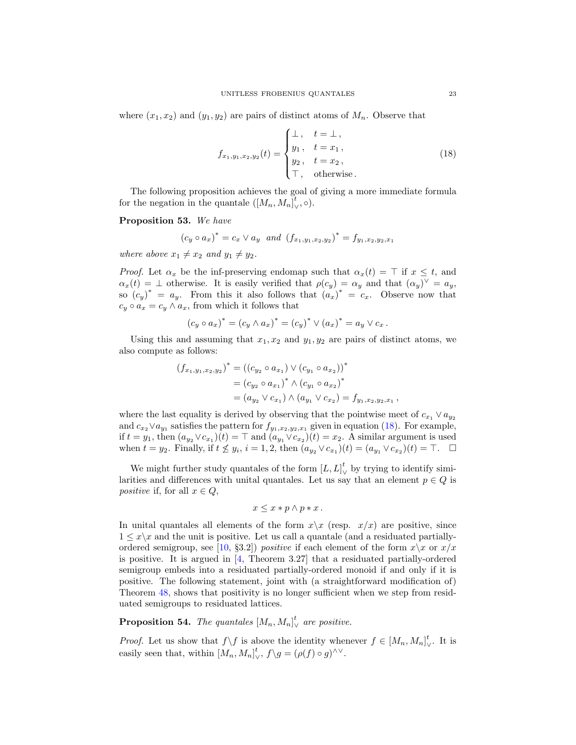where  $(x_1, x_2)$  and  $(y_1, y_2)$  are pairs of distinct atoms of  $M_n$ . Observe that

<span id="page-22-0"></span>
$$
f_{x_1,y_1,x_2,y_2}(t) = \begin{cases} \bot, & t = \bot, \\ y_1, & t = x_1, \\ y_2, & t = x_2, \\ \top, & \text{otherwise.} \end{cases}
$$
 (18)

The following proposition achieves the goal of giving a more immediate formula for the negation in the quantale  $([M_n, M_n]$  $\mathcal{L}_{\vee}, \circ).$ 

### Proposition 53. We have

$$
(c_y \circ a_x)^* = c_x \vee a_y
$$
 and  $(f_{x_1,y_1,x_2,y_2})^* = f_{y_1,x_2,y_2,x_1}$ 

where above  $x_1 \neq x_2$  and  $y_1 \neq y_2$ .

*Proof.* Let  $\alpha_x$  be the inf-preserving endomap such that  $\alpha_x(t) = \top$  if  $x \leq t$ , and  $\alpha_x(t) = \bot$  otherwise. It is easily verified that  $\rho(c_y) = \alpha_y$  and that  $(\alpha_y)^\vee = \alpha_y$ , so  $(c_y)^* = a_y$ . From this it also follows that  $(a_x)^* = c_x$ . Observe now that  $c_y \circ a_x = c_y \wedge a_x$ , from which it follows that

$$
(c_y \circ a_x)^* = (c_y \wedge a_x)^* = (c_y)^* \vee (a_x)^* = a_y \vee c_x.
$$

Using this and assuming that  $x_1, x_2$  and  $y_1, y_2$  are pairs of distinct atoms, we also compute as follows:

$$
(f_{x_1,y_1,x_2,y_2})^* = ((c_{y_2} \circ a_{x_1}) \vee (c_{y_1} \circ a_{x_2}))^*
$$
  
=  $(c_{y_2} \circ a_{x_1})^* \wedge (c_{y_1} \circ a_{x_2})^*$   
=  $(a_{y_2} \vee c_{x_1}) \wedge (a_{y_1} \vee c_{x_2}) = f_{y_1,x_2,y_2,x_1}$ ,

where the last equality is derived by observing that the pointwise meet of  $c_{x_1} \vee a_{y_2}$ and  $c_{x_2} \vee a_{y_1}$  satisfies the pattern for  $f_{y_1,x_2,y_2,x_1}$  given in equation [\(18\)](#page-22-0). For example, if  $t = y_1$ , then  $(a_{y_2} \vee c_{x_1})(t) = \top$  and  $(a_{y_1} \vee c_{x_2})(t) = x_2$ . A similar argument is used when  $t = y_2$ . Finally, if  $t \not\leq y_i$ ,  $i = 1, 2$ , then  $(a_{y_2} \vee c_{x_1})(t) = (a_{y_1} \vee c_{x_2})(t) = \top$ .  $\Box$ 

We might further study quantales of the form  $[L, L]_{\vee}^{t}$  by trying to identify similarities and differences with unital quantales. Let us say that an element  $p \in Q$  is positive if, for all  $x \in Q$ ,

$$
x \le x * p \wedge p * x.
$$

In unital quantales all elements of the form  $x\overline{\chi}$  (resp.  $x/x$ ) are positive, since  $1 \leq x \backslash x$  and the unit is positive. Let us call a quantale (and a residuated partially-ordered semigroup, see [\[10,](#page-24-3) §3.2]) *positive* if each element of the form  $x\$  x or  $x/x$ is positive. It is argued in [\[4,](#page-23-5) Theorem 3.27] that a residuated partially-ordered semigroup embeds into a residuated partially-ordered monoid if and only if it is positive. The following statement, joint with (a straightforward modification of) Theorem [48,](#page-19-1) shows that positivity is no longer sufficient when we step from residuated semigroups to residuated lattices.

**Proposition 54.** The quantales  $[M_n, M_n]_N^t$  $\frac{t}{\vee}$  are positive.

*Proof.* Let us show that  $f \setminus f$  is above the identity whenever  $f \in [M_n, M_n]$ ∨ . It is easily seen that, within  $[M_n, M_n]$ <sup>t</sup>  $\int_{\vee}^{\iota} f \backslash g = (\rho(f) \circ g)^{\wedge \vee}.$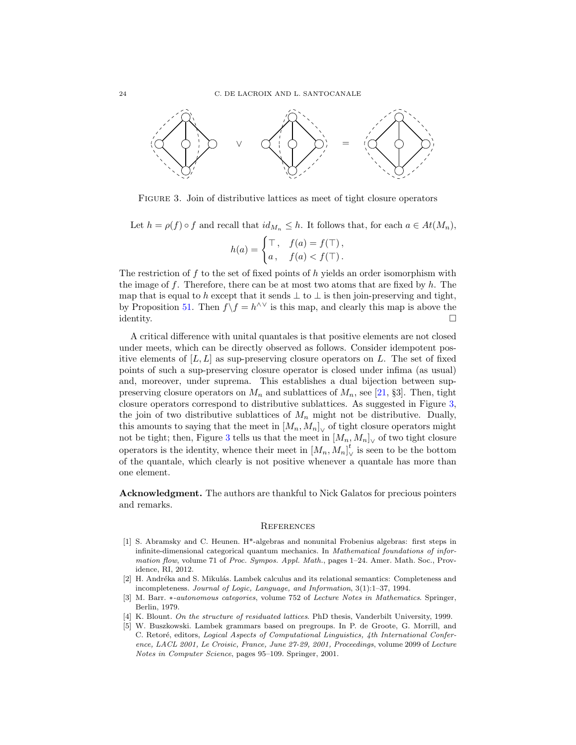

<span id="page-23-6"></span>Figure 3. Join of distributive lattices as meet of tight closure operators

Let  $h = \rho(f) \circ f$  and recall that  $id_{M_n} \leq h$ . It follows that, for each  $a \in At(M_n)$ ,

$$
h(a) = \begin{cases} \top, & f(a) = f(\top), \\ a, & f(a) < f(\top). \end{cases}
$$

The restriction of  $f$  to the set of fixed points of  $h$  yields an order isomorphism with the image of f. Therefore, there can be at most two atoms that are fixed by  $h$ . The map that is equal to h except that it sends  $\perp$  to  $\perp$  is then join-preserving and tight, by Proposition [51.](#page-21-0) Then  $f \setminus f = h^{\wedge \vee}$  is this map, and clearly this map is above the  $\Box$ identity.

A critical difference with unital quantales is that positive elements are not closed under meets, which can be directly observed as follows. Consider idempotent positive elements of  $[L, L]$  as sup-preserving closure operators on L. The set of fixed points of such a sup-preserving closure operator is closed under infima (as usual) and, moreover, under suprema. This establishes a dual bijection between suppreserving closure operators on  $M_n$  and sublattices of  $M_n$ , see [\[21,](#page-24-20) §3]. Then, tight closure operators correspond to distributive sublattices. As suggested in Figure [3,](#page-23-6) the join of two distributive sublattices of  $M_n$  might not be distributive. Dually, this amounts to saying that the meet in  $[M_n, M_n]_{\vee}$  of tight closure operators might not be tight; then, Figure [3](#page-23-6) tells us that the meet in  $[M_n, M_n]_{\vee}$  of two tight closure operators is the identity, whence their meet in  $[M_n, M_n]_{\vee}^t$  is seen to be the bottom  $\alpha$  is the station, which clearly is not positive whenever a quantale has more than one element.

Acknowledgment. The authors are thankful to Nick Galatos for precious pointers and remarks.

#### <span id="page-23-2"></span>**REFERENCES**

- <span id="page-23-1"></span>[1] S. Abramsky and C. Heunen. H\*-algebras and nonunital Frobenius algebras: first steps in infinite-dimensional categorical quantum mechanics. In Mathematical foundations of information flow, volume 71 of Proc. Sympos. Appl. Math., pages 1-24. Amer. Math. Soc., Providence, RI, 2012.
- <span id="page-23-0"></span>[2] H. Andréka and S. Mikulás. Lambek calculus and its relational semantics: Completeness and incompleteness. Journal of Logic, Language, and Information, 3(1):1–37, 1994.
- <span id="page-23-3"></span>[3] M. Barr. \*-autonomous categories, volume 752 of Lecture Notes in Mathematics. Springer, Berlin, 1979.
- <span id="page-23-5"></span>[4] K. Blount. On the structure of residuated lattices. PhD thesis, Vanderbilt University, 1999.
- <span id="page-23-4"></span>[5] W. Buszkowski. Lambek grammars based on pregroups. In P. de Groote, G. Morrill, and C. Retoré, editors, Logical Aspects of Computational Linguistics, 4th International Conference, LACL 2001, Le Croisic, France, June 27-29, 2001, Proceedings, volume 2099 of Lecture Notes in Computer Science, pages 95–109. Springer, 2001.